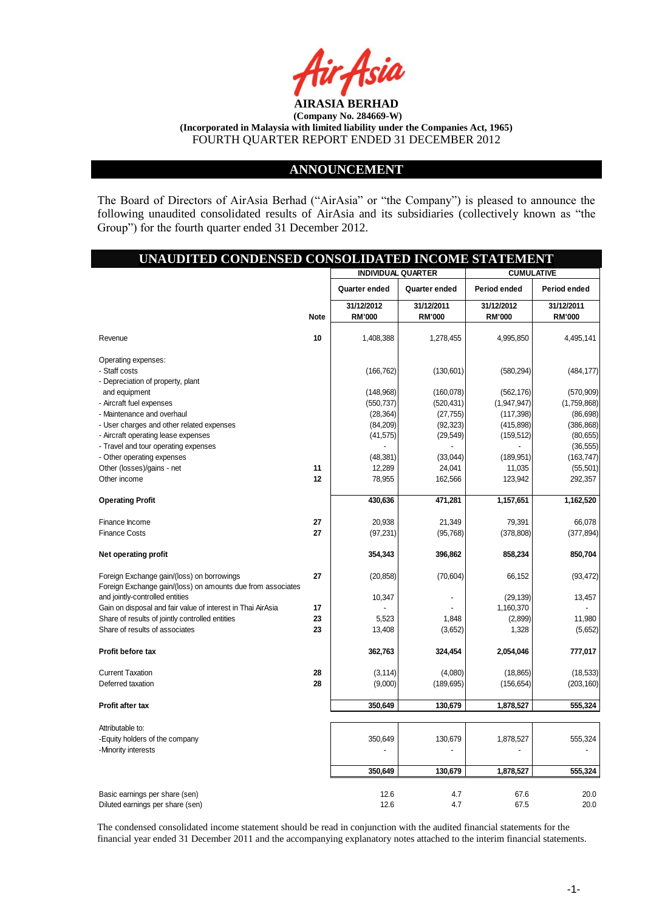

### **ANNOUNCEMENT**

The Board of Directors of AirAsia Berhad ("AirAsia" or "the Company") is pleased to announce the following unaudited consolidated results of AirAsia and its subsidiaries (collectively known as "the Group") for the fourth quarter ended 31 December 2012.

## **UNAUDITED CONDENSED CONSOLIDATED INCOME STATEMENT**

|                                                             |      | <b>INDIVIDUAL QUARTER</b>   |                             | <b>CUMULATIVE</b>           |                             |
|-------------------------------------------------------------|------|-----------------------------|-----------------------------|-----------------------------|-----------------------------|
|                                                             |      | Quarter ended               | Quarter ended               | Period ended                | Period ended                |
|                                                             | Note | 31/12/2012<br><b>RM'000</b> | 31/12/2011<br><b>RM'000</b> | 31/12/2012<br><b>RM'000</b> | 31/12/2011<br><b>RM'000</b> |
| Revenue                                                     | 10   | 1,408,388                   | 1,278,455                   | 4,995,850                   | 4,495,141                   |
| Operating expenses:                                         |      |                             |                             |                             |                             |
| - Staff costs<br>- Depreciation of property, plant          |      | (166, 762)                  | (130,601)                   | (580, 294)                  | (484, 177)                  |
| and equipment                                               |      | (148,968)                   | (160,078)                   | (562, 176)                  | (570, 909)                  |
| - Aircraft fuel expenses                                    |      | (550, 737)                  | (520, 431)                  | (1,947,947)                 | (1,759,868)                 |
| - Maintenance and overhaul                                  |      | (28, 364)                   | (27, 755)                   | (117, 398)                  | (86, 698)                   |
| - User charges and other related expenses                   |      | (84, 209)                   | (92, 323)                   | (415, 898)                  | (386, 868)                  |
| - Aircraft operating lease expenses                         |      | (41, 575)                   | (29, 549)                   | (159, 512)                  | (80, 655)                   |
| - Travel and tour operating expenses                        |      |                             |                             |                             | (36, 555)                   |
| - Other operating expenses                                  |      | (48, 381)                   | (33,044)                    | (189, 951)                  | (163, 747)                  |
| Other (losses)/gains - net                                  | 11   | 12,289                      | 24,041                      | 11,035                      | (55, 501)                   |
| Other income                                                | 12   | 78,955                      | 162,566                     | 123,942                     | 292,357                     |
| <b>Operating Profit</b>                                     |      | 430,636                     | 471,281                     | 1,157,651                   | 1,162,520                   |
| Finance Income                                              | 27   | 20,938                      | 21,349                      | 79,391                      | 66,078                      |
| <b>Finance Costs</b>                                        | 27   | (97, 231)                   | (95, 768)                   | (378, 808)                  | (377, 894)                  |
| Net operating profit                                        |      | 354,343                     | 396,862                     | 858,234                     | 850,704                     |
| Foreign Exchange gain/(loss) on borrowings                  | 27   | (20, 858)                   | (70, 604)                   | 66,152                      | (93, 472)                   |
| Foreign Exchange gain/(loss) on amounts due from associates |      |                             |                             |                             |                             |
| and jointly-controlled entities                             |      | 10,347                      |                             | (29, 139)                   | 13,457                      |
| Gain on disposal and fair value of interest in Thai AirAsia | 17   |                             |                             | 1,160,370                   |                             |
| Share of results of jointly controlled entities             | 23   | 5,523                       | 1,848                       | (2,899)                     | 11,980                      |
| Share of results of associates                              | 23   | 13,408                      | (3,652)                     | 1,328                       | (5,652)                     |
| Profit before tax                                           |      | 362,763                     | 324,454                     | 2,054,046                   | 777,017                     |
| <b>Current Taxation</b>                                     | 28   | (3, 114)                    | (4,080)                     | (18, 865)                   | (18, 533)                   |
| Deferred taxation                                           | 28   | (9,000)                     | (189, 695)                  | (156, 654)                  | (203, 160)                  |
| <b>Profit after tax</b>                                     |      | 350,649                     | 130,679                     | 1,878,527                   | 555,324                     |
| Attributable to:                                            |      |                             |                             |                             |                             |
| -Equity holders of the company                              |      | 350,649                     | 130,679                     | 1,878,527                   | 555,324                     |
| -Minority interests                                         |      |                             |                             |                             |                             |
|                                                             |      | 350,649                     | 130,679                     | 1,878,527                   | 555,324                     |
| Basic earnings per share (sen)                              |      | 12.6                        | 4.7                         | 67.6                        | 20.0                        |
| Diluted earnings per share (sen)                            |      | 12.6                        | 4.7                         | 67.5                        | 20.0                        |

The condensed consolidated income statement should be read in conjunction with the audited financial statements for the financial year ended 31 December 2011 and the accompanying explanatory notes attached to the interim financial statements.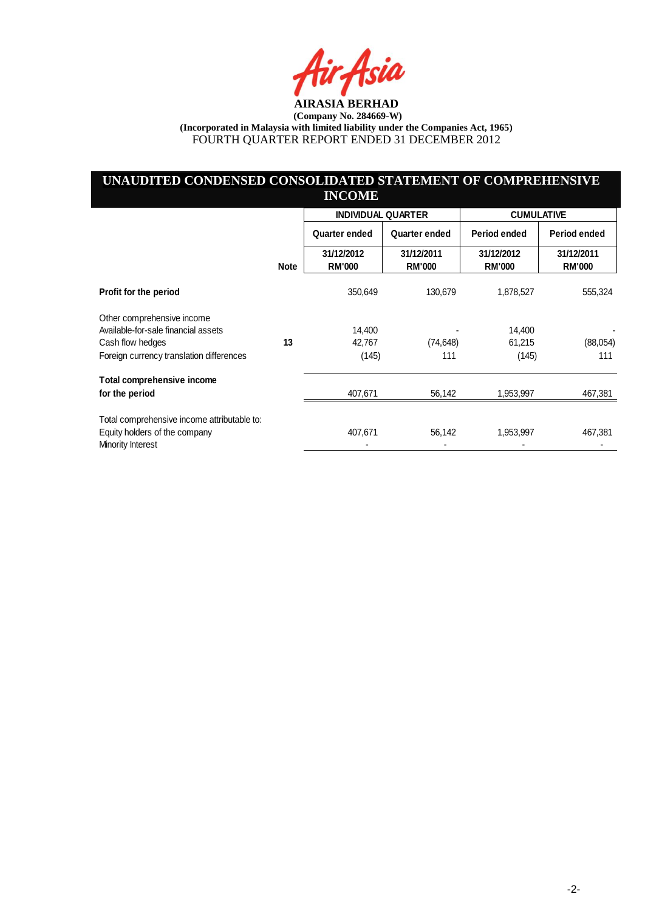ia

## **UNAUDITED CONDENSED CONSOLIDATED STATEMENT OF COMPREHENSIVE INCOME**

|                                             |             | <b>INDIVIDUAL QUARTER</b>   |                             | <b>CUMULATIVE</b>           |                             |  |
|---------------------------------------------|-------------|-----------------------------|-----------------------------|-----------------------------|-----------------------------|--|
|                                             |             | Quarter ended               | Quarter ended               | Period ended                | Period ended                |  |
|                                             | <b>Note</b> | 31/12/2012<br><b>RM'000</b> | 31/12/2011<br><b>RM'000</b> | 31/12/2012<br><b>RM'000</b> | 31/12/2011<br><b>RM'000</b> |  |
| Profit for the period                       |             | 350,649                     | 130,679                     | 1,878,527                   | 555,324                     |  |
| Other comprehensive income                  |             |                             |                             |                             |                             |  |
| Available-for-sale financial assets         |             | 14.400                      |                             | 14,400                      |                             |  |
| Cash flow hedges                            | 13          | 42,767                      | (74, 648)                   | 61,215                      | (88,054)                    |  |
| Foreign currency translation differences    |             | (145)                       | 111                         | (145)                       | 111                         |  |
| Total comprehensive income                  |             |                             |                             |                             |                             |  |
| for the period                              |             | 407,671                     | 56,142                      | 1,953,997                   | 467,381                     |  |
| Total comprehensive income attributable to: |             |                             |                             |                             |                             |  |
| Equity holders of the company               |             | 407,671                     | 56,142                      | 1,953,997                   | 467,381                     |  |
| Minority Interest                           |             |                             |                             |                             |                             |  |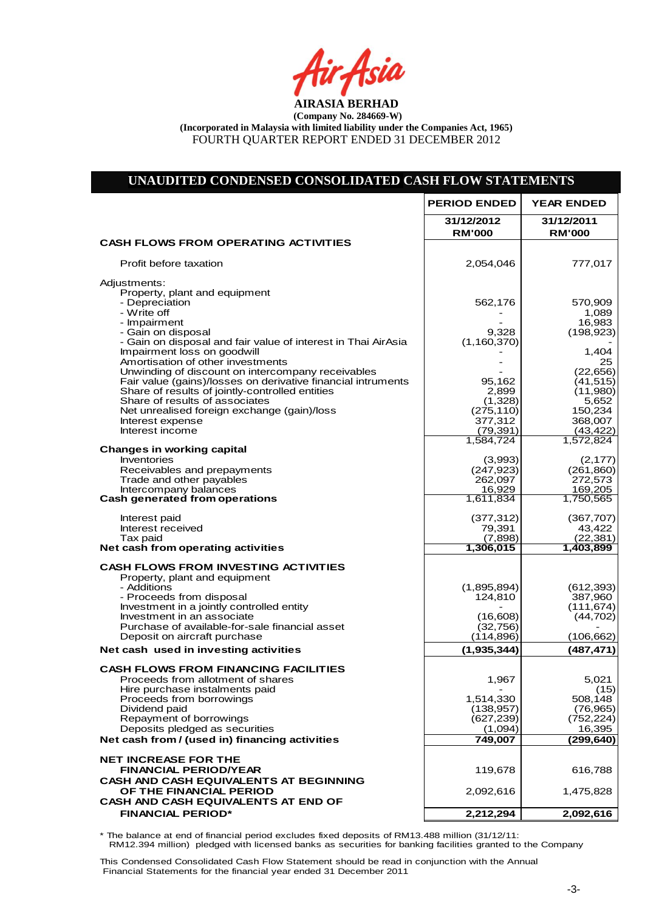Air Asia

## **UNAUDITED CONDENSED CONSOLIDATED CASH FLOW STATEMENTS**

|                                                                                        | <b>PERIOD ENDED</b>         | <b>YEAR ENDED</b>           |
|----------------------------------------------------------------------------------------|-----------------------------|-----------------------------|
|                                                                                        | 31/12/2012<br><b>RM'000</b> | 31/12/2011<br><b>RM'000</b> |
| <b>CASH FLOWS FROM OPERATING ACTIVITIES</b>                                            |                             |                             |
| Profit before taxation                                                                 | 2,054,046                   | 777,017                     |
| Adjustments:                                                                           |                             |                             |
| Property, plant and equipment<br>- Depreciation                                        | 562,176                     | 570,909                     |
| - Write off                                                                            |                             | 1,089                       |
| - Impairment<br>- Gain on disposal                                                     | 9,328                       | 16,983<br>(198, 923)        |
| - Gain on disposal and fair value of interest in Thai AirAsia                          | (1, 160, 370)               |                             |
| Impairment loss on goodwill                                                            |                             | 1,404                       |
| Amortisation of other investments<br>Unwinding of discount on intercompany receivables |                             | 25<br>(22, 656)             |
| Fair value (gains)/losses on derivative financial intruments                           | 95,162                      | (41, 515)                   |
| Share of results of jointly-controlled entities                                        | 2,899                       | (11,980)                    |
| Share of results of associates<br>Net unrealised foreign exchange (gain)/loss          | (1,328)<br>(275, 110)       | 5,652<br>150,234            |
| Interest expense                                                                       | 377,312                     | 368,007                     |
| Interest income                                                                        | (79, 391)                   | (43, 422)                   |
| <b>Changes in working capital</b>                                                      | 1,584,724                   | 1,572,824                   |
| Inventories                                                                            | (3,993)                     | (2, 177)                    |
| Receivables and prepayments<br>Trade and other payables                                | (247, 923)<br>262,097       | (261, 860)<br>272,573       |
| Intercompany balances                                                                  | 16,929                      | 169,205                     |
| Cash generated from operations                                                         | 1,611,834                   | 1,750,565                   |
| Interest paid                                                                          | (377, 312)                  | (367, 707)                  |
| Interest received                                                                      | 79,391                      | 43,422                      |
| Tax paid<br>Net cash from operating activities                                         | (7,898)<br>1,306,015        | (22, 381)<br>1,403,899      |
| <b>CASH FLOWS FROM INVESTING ACTIVITIES</b>                                            |                             |                             |
| Property, plant and equipment                                                          |                             |                             |
| - Additions                                                                            | (1,895,894)                 | (612, 393)                  |
| - Proceeds from disposal<br>Investment in a jointly controlled entity                  | 124,810                     | 387,960<br>(111, 674)       |
| Investment in an associate                                                             | (16,608)                    | (44, 702)                   |
| Purchase of available-for-sale financial asset<br>Deposit on aircraft purchase         | (32,756)<br>(114, 896)      | (106,662)                   |
|                                                                                        |                             |                             |
| Net cash used in investing activities                                                  | (1,935,344)                 | (487, 471)                  |
| <b>CASH FLOWS FROM FINANCING FACILITIES</b><br>Proceeds from allotment of shares       | 1,967                       | 5,021                       |
| Hire purchase instalments paid                                                         |                             | (15)                        |
| Proceeds from borrowings                                                               | 1,514,330                   | 508,148                     |
| Dividend paid<br>Repayment of borrowings                                               | (138, 957)<br>(627, 239)    | (76, 965)<br>(752, 224)     |
| Deposits pledged as securities                                                         | (1,094)                     | 16,395                      |
| Net cash from / (used in) financing activities                                         | 749,007                     | (299,640)                   |
| <b>NET INCREASE FOR THE</b>                                                            |                             |                             |
| <b>FINANCIAL PERIOD/YEAR</b>                                                           | 119,678                     | 616,788                     |
| <b>CASH AND CASH EQUIVALENTS AT BEGINNING</b>                                          |                             |                             |
| OF THE FINANCIAL PERIOD<br>CASH AND CASH EQUIVALENTS AT END OF                         | 2,092,616                   | 1,475,828                   |
| <b>FINANCIAL PERIOD*</b>                                                               | 2,212,294                   | 2,092,616                   |
|                                                                                        |                             |                             |

\* The balance at end of financial period excludes fixed deposits of RM13.488 million (31/12/11: RM12.394 million) pledged with licensed banks as securities for banking facilities granted to the Company

This Condensed Consolidated Cash Flow Statement should be read in conjunction with the Annual Financial Statements for the financial year ended 31 December 2011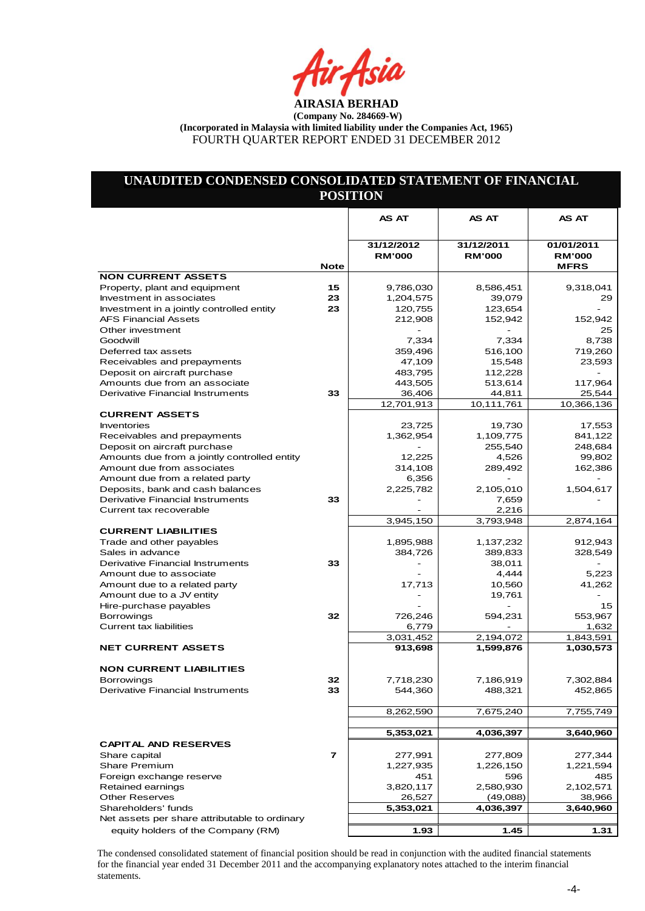## **UNAUDITED CONDENSED CONSOLIDATED STATEMENT OF FINANCIAL POSITION**

|                                                     |                | AS AT                       | AS AT                       | AS AT                       |
|-----------------------------------------------------|----------------|-----------------------------|-----------------------------|-----------------------------|
|                                                     |                |                             |                             |                             |
|                                                     |                | 31/12/2012<br><b>RM'000</b> | 31/12/2011<br><b>RM'000</b> | 01/01/2011<br><b>RM'000</b> |
|                                                     | <b>Note</b>    |                             |                             | <b>MFRS</b>                 |
| <b>NON CURRENT ASSETS</b>                           |                |                             |                             |                             |
| Property, plant and equipment                       | 15             | 9,786,030                   | 8,586,451                   | 9,318,041                   |
| Investment in associates                            | 23             | 1,204,575                   | 39,079                      | 29                          |
| Investment in a jointly controlled entity           | 23             | 120,755                     | 123,654                     |                             |
| <b>AFS Financial Assets</b>                         |                | 212,908                     | 152,942                     | 152,942                     |
| Other investment                                    |                |                             |                             | 25<br>8,738                 |
| Goodwill<br>Deferred tax assets                     |                | 7,334<br>359,496            | 7,334                       | 719,260                     |
| Receivables and prepayments                         |                | 47,109                      | 516,100<br>15,548           | 23,593                      |
| Deposit on aircraft purchase                        |                | 483,795                     | 112,228                     |                             |
| Amounts due from an associate                       |                | 443,505                     | 513,614                     | 117,964                     |
| Derivative Financial Instruments                    | 33             | 36,406                      | 44,811                      | 25,544                      |
|                                                     |                | 12,701,913                  | 10,111,761                  | 10,366,136                  |
| <b>CURRENT ASSETS</b>                               |                |                             |                             |                             |
| Inventories                                         |                | 23,725                      | 19,730                      | 17,553                      |
| Receivables and prepayments                         |                | 1,362,954                   | 1,109,775                   | 841,122                     |
| Deposit on aircraft purchase                        |                |                             | 255,540                     | 248,684                     |
| Amounts due from a jointly controlled entity        |                | 12,225                      | 4,526                       | 99,802                      |
| Amount due from associates                          |                | 314,108                     | 289,492                     | 162,386                     |
| Amount due from a related party                     |                | 6,356                       |                             |                             |
| Deposits, bank and cash balances                    |                | 2,225,782                   | 2,105,010                   | 1,504,617                   |
| Derivative Financial Instruments                    | 33             |                             | 7,659                       |                             |
| Current tax recoverable                             |                |                             | 2,216                       |                             |
|                                                     |                | 3,945,150                   | 3,793,948                   | 2,874,164                   |
| <b>CURRENT LIABILITIES</b>                          |                |                             |                             |                             |
| Trade and other payables                            |                | 1,895,988                   | 1,137,232                   | 912,943                     |
| Sales in advance                                    |                | 384,726                     | 389,833                     | 328,549                     |
| Derivative Financial Instruments                    | 33             |                             | 38,011                      |                             |
| Amount due to associate                             |                |                             | 4,444                       | 5,223                       |
| Amount due to a related party                       |                | 17,713                      | 10,560                      | 41,262                      |
| Amount due to a JV entity                           |                |                             | 19,761                      |                             |
| Hire-purchase payables                              |                |                             |                             | 15                          |
| <b>Borrowings</b><br><b>Current tax liabilities</b> | 32             | 726,246                     | 594,231                     | 553,967<br>1,632            |
|                                                     |                | 6,779<br>3,031,452          | 2,194,072                   | 1,843,591                   |
| <b>NET CURRENT ASSETS</b>                           |                | 913,698                     | 1,599,876                   | 1,030,573                   |
|                                                     |                |                             |                             |                             |
| <b>NON CURRENT LIABILITIES</b>                      |                |                             |                             |                             |
| Borrowings                                          | 32             | 7,718,230                   | 7,186,919                   | 7,302,884                   |
| Derivative Financial Instruments                    | 33             | 544,360                     | 488,321                     | 452,865                     |
|                                                     |                |                             |                             |                             |
|                                                     |                | 8,262,590                   | 7,675,240                   | 7,755,749                   |
|                                                     |                |                             |                             |                             |
|                                                     |                | 5,353,021                   | 4,036,397                   | 3,640,960                   |
| <b>CAPITAL AND RESERVES</b>                         | $\overline{7}$ |                             |                             |                             |
| Share capital                                       |                | 277,991                     | 277,809                     | 277,344                     |
| <b>Share Premium</b><br>Foreign exchange reserve    |                | 1,227,935<br>451            | 1,226,150<br>596            | 1,221,594                   |
| Retained earnings                                   |                | 3,820,117                   | 2,580,930                   | 485<br>2,102,571            |
| <b>Other Reserves</b>                               |                | 26,527                      | (49,088)                    | 38,966                      |
| Shareholders' funds                                 |                | 5,353,021                   | 4,036,397                   | 3,640,960                   |
| Net assets per share attributable to ordinary       |                |                             |                             |                             |
| equity holders of the Company (RM)                  |                | 1.93                        | 1.45                        | 1.31                        |
|                                                     |                |                             |                             |                             |

The condensed consolidated statement of financial position should be read in conjunction with the audited financial statements for the financial year ended 31 December 2011 and the accompanying explanatory notes attached to the interim financial statements.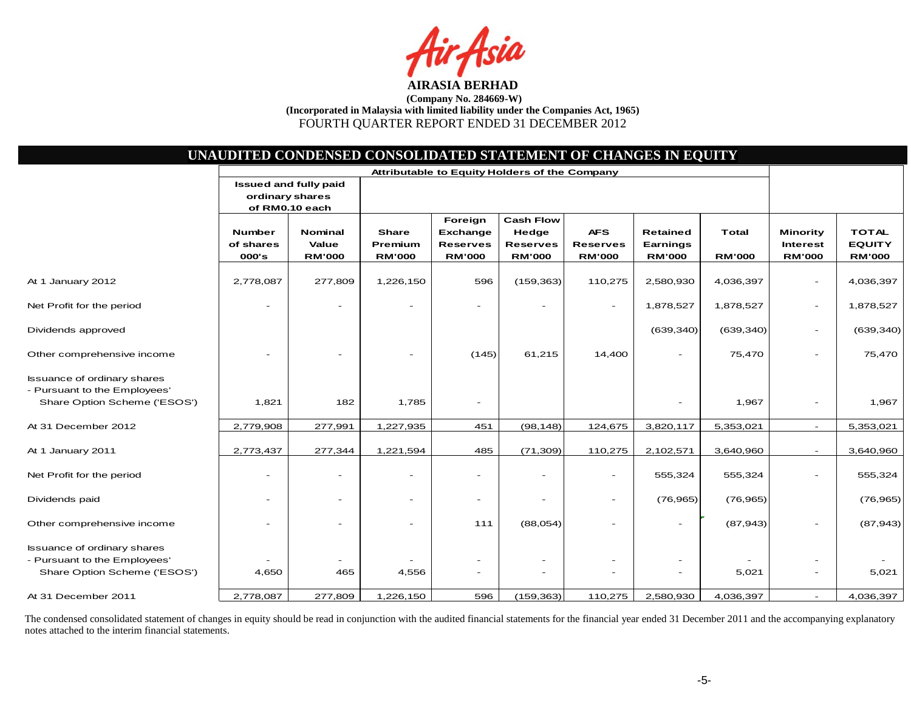

|                                                                                                    | UNAUDITED CONDENSED CONSOLIDATED STATEMENT OF CHANGES IN EQUITY |                                                |                                                 |                                                         |                                                               |                                                |                                              |                               |                                                     |                                                |
|----------------------------------------------------------------------------------------------------|-----------------------------------------------------------------|------------------------------------------------|-------------------------------------------------|---------------------------------------------------------|---------------------------------------------------------------|------------------------------------------------|----------------------------------------------|-------------------------------|-----------------------------------------------------|------------------------------------------------|
|                                                                                                    | ordinary shares                                                 | <b>Issued and fully paid</b><br>of RM0.10 each | Attributable to Equity Holders of the Company   |                                                         |                                                               |                                                |                                              |                               |                                                     |                                                |
|                                                                                                    | Number<br>of shares<br>000's                                    | <b>Nominal</b><br>Value<br><b>RM'000</b>       | <b>Share</b><br><b>Premium</b><br><b>RM'000</b> | Foreign<br>Exchange<br><b>Reserves</b><br><b>RM'000</b> | <b>Cash Flow</b><br>Hedge<br><b>Reserves</b><br><b>RM'000</b> | <b>AFS</b><br><b>Reserves</b><br><b>RM'000</b> | <b>Retained</b><br>Earnings<br><b>RM'000</b> | <b>Total</b><br><b>RM'000</b> | <b>Minority</b><br><b>Interest</b><br><b>RM'000</b> | <b>TOTAL</b><br><b>EQUITY</b><br><b>RM'000</b> |
| At 1 January 2012                                                                                  | 2,778,087                                                       | 277,809                                        | 1,226,150                                       | 596                                                     | (159, 363)                                                    | 110,275                                        | 2,580,930                                    | 4,036,397                     | $\overline{\phantom{a}}$                            | 4,036,397                                      |
| Net Profit for the period                                                                          |                                                                 |                                                |                                                 |                                                         |                                                               | $\overline{\phantom{a}}$                       | 1,878,527                                    | 1,878,527                     | $\overline{\phantom{a}}$                            | 1,878,527                                      |
| Dividends approved                                                                                 |                                                                 |                                                |                                                 |                                                         |                                                               |                                                | (639, 340)                                   | (639, 340)                    | $\overline{\phantom{a}}$                            | (639, 340)                                     |
| Other comprehensive income                                                                         |                                                                 |                                                |                                                 | (145)                                                   | 61,215                                                        | 14,400                                         |                                              | 75,470                        |                                                     | 75,470                                         |
| Issuance of ordinary shares<br>- Pursuant to the Employees'<br>Share Option Scheme ('ESOS')        | 1,821                                                           | 182                                            | 1,785                                           | $\overline{\phantom{a}}$                                |                                                               |                                                |                                              | 1,967                         | $\overline{\phantom{a}}$                            | 1,967                                          |
| At 31 December 2012                                                                                | 2,779,908                                                       | 277,991                                        | 1,227,935                                       | 451                                                     | (98, 148)                                                     | 124,675                                        | 3,820,117                                    | 5,353,021                     |                                                     | 5,353,021                                      |
| At 1 January 2011                                                                                  | 2,773,437                                                       | 277,344                                        | 1,221,594                                       | 485                                                     | (71, 309)                                                     | 110,275                                        | 2,102,571                                    | 3,640,960                     |                                                     | 3,640,960                                      |
| Net Profit for the period                                                                          |                                                                 |                                                |                                                 | $\blacksquare$                                          |                                                               | $\overline{\phantom{a}}$                       | 555,324                                      | 555,324                       |                                                     | 555,324                                        |
| Dividends paid                                                                                     | $\overline{\phantom{a}}$                                        |                                                |                                                 | $\overline{\phantom{a}}$                                | ۰                                                             | $\overline{\phantom{a}}$                       | (76, 965)                                    | (76, 965)                     |                                                     | (76, 965)                                      |
| Other comprehensive income                                                                         | $\overline{\phantom{a}}$                                        |                                                |                                                 | 111                                                     | (88,054)                                                      | ۰                                              |                                              | (87, 943)                     |                                                     | (87, 943)                                      |
| <b>Issuance of ordinary shares</b><br>- Pursuant to the Employees'<br>Share Option Scheme ('ESOS') | 4,650                                                           | 465                                            | 4,556                                           | $\overline{\phantom{a}}$<br>$\overline{\phantom{a}}$    | $\overline{a}$<br>$\overline{\phantom{a}}$                    | $\qquad \qquad -$<br>$\qquad \qquad -$         | $\overline{\phantom{a}}$                     | 5,021                         | -<br>$\overline{\phantom{a}}$                       | 5,021                                          |
| At 31 December 2011                                                                                | 2,778,087                                                       | 277,809                                        | 1,226,150                                       | 596                                                     | (159, 363)                                                    | 110,275                                        | 2,580,930                                    | 4,036,397                     |                                                     | 4,036,397                                      |

The condensed consolidated statement of changes in equity should be read in conjunction with the audited financial statements for the financial year ended 31 December 2011 and the accompanying explanatory notes attached to the interim financial statements.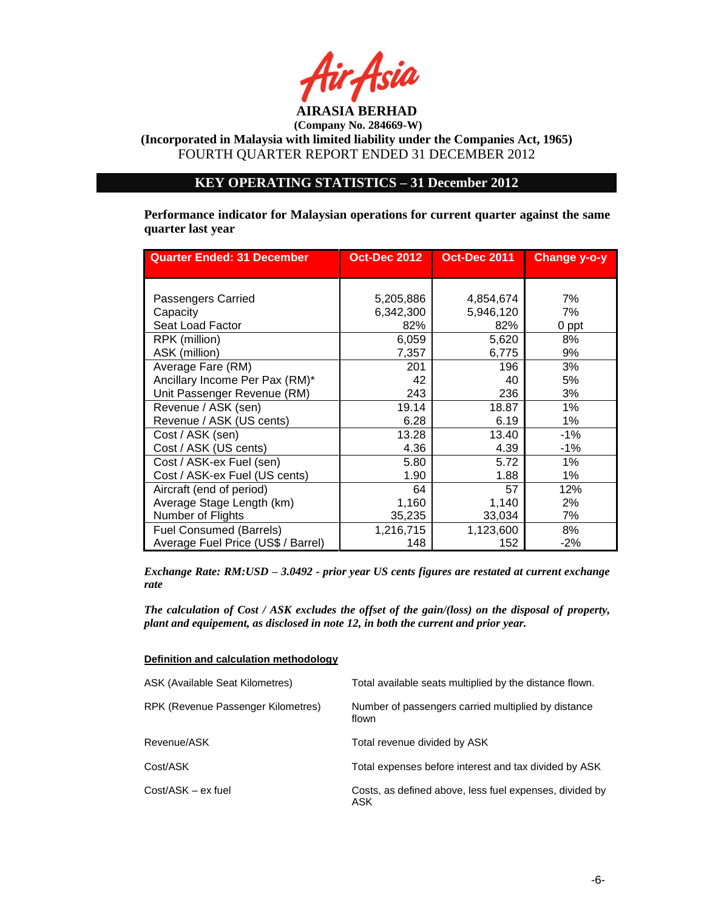

**(Company No. 284669-W)**

**(Incorporated in Malaysia with limited liability under the Companies Act, 1965)** FOURTH QUARTER REPORT ENDED 31 DECEMBER 2012

## **KEY OPERATING STATISTICS – 31 December 2012**

**Performance indicator for Malaysian operations for current quarter against the same quarter last year**

| <b>Quarter Ended: 31 December</b>  | <b>Oct-Dec 2012</b> | <b>Oct-Dec 2011</b> | Change y-o-y |
|------------------------------------|---------------------|---------------------|--------------|
|                                    |                     |                     |              |
| Passengers Carried                 | 5,205,886           | 4,854,674           | 7%           |
| Capacity                           | 6,342,300           | 5,946,120           | 7%           |
| Seat Load Factor                   | 82%                 | 82%                 | 0 ppt        |
| RPK (million)                      | 6,059               | 5,620               | 8%           |
| ASK (million)                      | 7,357               | 6,775               | 9%           |
| Average Fare (RM)                  | 201                 | 196                 | 3%           |
| Ancillary Income Per Pax (RM)*     | 42                  | 40                  | 5%           |
| Unit Passenger Revenue (RM)        | 243                 | 236                 | 3%           |
| Revenue / ASK (sen)                | 19.14               | 18.87               | 1%           |
| Revenue / ASK (US cents)           | 6.28                | 6.19                | 1%           |
| Cost / ASK (sen)                   | 13.28               | 13.40               | -1%          |
| Cost / ASK (US cents)              | 4.36                | 4.39                | -1%          |
| Cost / ASK-ex Fuel (sen)           | 5.80                | 5.72                | 1%           |
| Cost / ASK-ex Fuel (US cents)      | 1.90                | 1.88                | 1%           |
| Aircraft (end of period)           | 64                  | 57                  | 12%          |
| Average Stage Length (km)          | 1,160               | 1,140               | 2%           |
| Number of Flights                  | 35,235              | 33,034              | 7%           |
| <b>Fuel Consumed (Barrels)</b>     | 1,216,715           | 1,123,600           | 8%           |
| Average Fuel Price (US\$ / Barrel) | 148                 | 152                 | $-2%$        |

*Exchange Rate: RM:USD – 3.0492 - prior year US cents figures are restated at current exchange rate*

*The calculation of Cost / ASK excludes the offset of the gain/(loss) on the disposal of property, plant and equipement, as disclosed in note 12, in both the current and prior year.*

**Definition and calculation methodology**

| ASK (Available Seat Kilometres)    | Total available seats multiplied by the distance flown.        |
|------------------------------------|----------------------------------------------------------------|
| RPK (Revenue Passenger Kilometres) | Number of passengers carried multiplied by distance<br>flown   |
| Revenue/ASK                        | Total revenue divided by ASK                                   |
| Cost/ASK                           | Total expenses before interest and tax divided by ASK          |
| Cost/ASK – ex fuel                 | Costs, as defined above, less fuel expenses, divided by<br>ASK |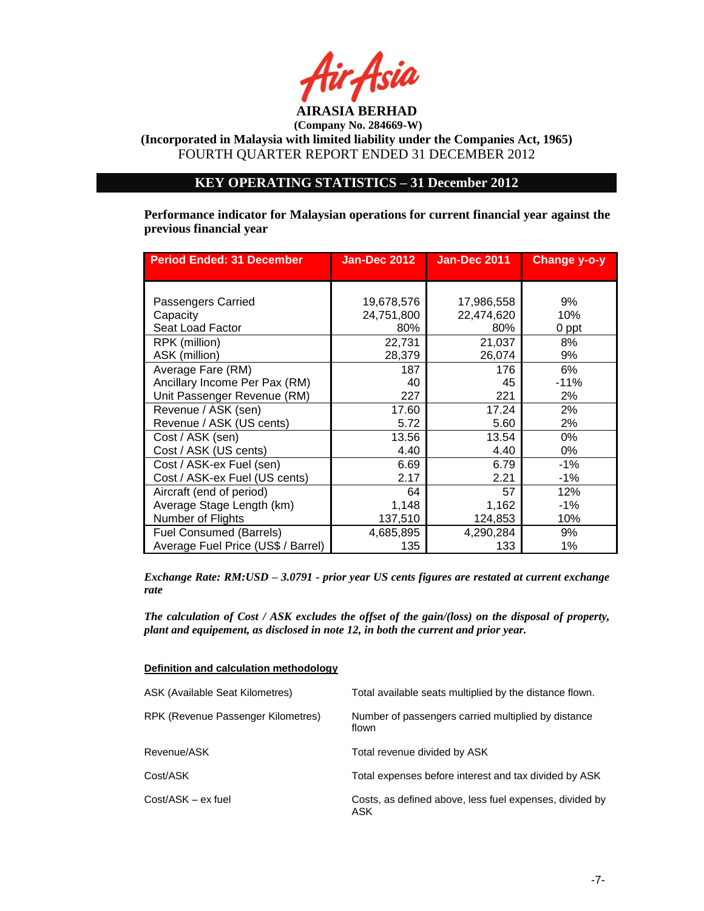

**(Company No. 284669-W)**

**(Incorporated in Malaysia with limited liability under the Companies Act, 1965)** FOURTH QUARTER REPORT ENDED 31 DECEMBER 2012

## **KEY OPERATING STATISTICS – 31 December 2012**

**Performance indicator for Malaysian operations for current financial year against the previous financial year**

| <b>Period Ended: 31 December</b>   | <b>Jan-Dec 2012</b> | <b>Jan-Dec 2011</b> | Change y-o-y |
|------------------------------------|---------------------|---------------------|--------------|
|                                    |                     |                     |              |
| Passengers Carried                 | 19,678,576          | 17,986,558          | 9%           |
| Capacity                           | 24,751,800          | 22,474,620          | 10%          |
| Seat Load Factor                   | 80%                 | 80%                 | 0 ppt        |
| RPK (million)                      | 22,731              | 21,037              | 8%           |
| ASK (million)                      | 28,379              | 26,074              | 9%           |
| Average Fare (RM)                  | 187                 | 176                 | 6%           |
| Ancillary Income Per Pax (RM)      | 40                  | 45                  | $-11%$       |
| Unit Passenger Revenue (RM)        | 227                 | 221                 | 2%           |
| Revenue / ASK (sen)                | 17.60               | 17.24               | 2%           |
| Revenue / ASK (US cents)           | 5.72                | 5.60                | 2%           |
| Cost / ASK (sen)                   | 13.56               | 13.54               | 0%           |
| Cost / ASK (US cents)              | 4.40                | 4.40                | 0%           |
| Cost / ASK-ex Fuel (sen)           | 6.69                | 6.79                | $-1\%$       |
| Cost / ASK-ex Fuel (US cents)      | 2.17                | 2.21                | $-1\%$       |
| Aircraft (end of period)           | 64                  | 57                  | 12%          |
| Average Stage Length (km)          | 1,148               | 1,162               | $-1\%$       |
| Number of Flights                  | 137,510             | 124,853             | 10%          |
| <b>Fuel Consumed (Barrels)</b>     | 4,685,895           | 4,290,284           | 9%           |
| Average Fuel Price (US\$ / Barrel) | 135                 | 133                 | 1%           |

*Exchange Rate: RM:USD – 3.0791 - prior year US cents figures are restated at current exchange rate*

*The calculation of Cost / ASK excludes the offset of the gain/(loss) on the disposal of property, plant and equipement, as disclosed in note 12, in both the current and prior year.*

|  | Definition and calculation methodology |
|--|----------------------------------------|
|  |                                        |

| ASK (Available Seat Kilometres)    | Total available seats multiplied by the distance flown.        |
|------------------------------------|----------------------------------------------------------------|
| RPK (Revenue Passenger Kilometres) | Number of passengers carried multiplied by distance<br>flown   |
| Revenue/ASK                        | Total revenue divided by ASK                                   |
| Cost/ASK                           | Total expenses before interest and tax divided by ASK          |
| Cost/ASK – ex fuel                 | Costs, as defined above, less fuel expenses, divided by<br>ASK |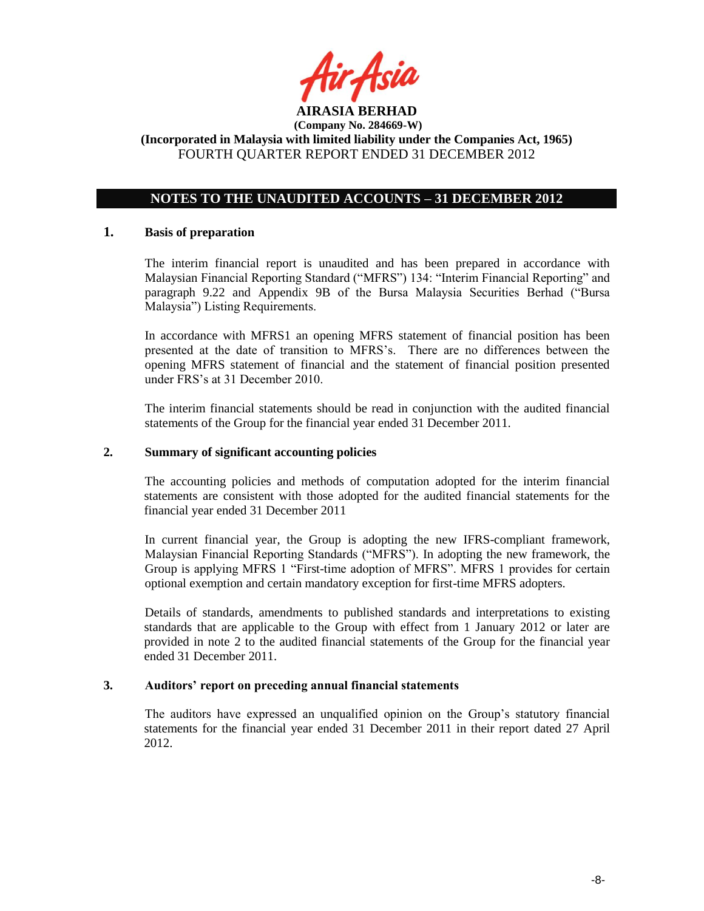

## **NOTES TO THE UNAUDITED ACCOUNTS – 31 DECEMBER 2012**

### **1. Basis of preparation**

The interim financial report is unaudited and has been prepared in accordance with Malaysian Financial Reporting Standard ("MFRS") 134: "Interim Financial Reporting" and paragraph 9.22 and Appendix 9B of the Bursa Malaysia Securities Berhad ("Bursa Malaysia") Listing Requirements.

In accordance with MFRS1 an opening MFRS statement of financial position has been presented at the date of transition to MFRS's. There are no differences between the opening MFRS statement of financial and the statement of financial position presented under FRS's at 31 December 2010.

The interim financial statements should be read in conjunction with the audited financial statements of the Group for the financial year ended 31 December 2011.

### **2. Summary of significant accounting policies**

The accounting policies and methods of computation adopted for the interim financial statements are consistent with those adopted for the audited financial statements for the financial year ended 31 December 2011

In current financial year, the Group is adopting the new IFRS-compliant framework, Malaysian Financial Reporting Standards ("MFRS"). In adopting the new framework, the Group is applying MFRS 1 "First-time adoption of MFRS". MFRS 1 provides for certain optional exemption and certain mandatory exception for first-time MFRS adopters.

Details of standards, amendments to published standards and interpretations to existing standards that are applicable to the Group with effect from 1 January 2012 or later are provided in note 2 to the audited financial statements of the Group for the financial year ended 31 December 2011.

### **3. Auditors' report on preceding annual financial statements**

The auditors have expressed an unqualified opinion on the Group's statutory financial statements for the financial year ended 31 December 2011 in their report dated 27 April 2012.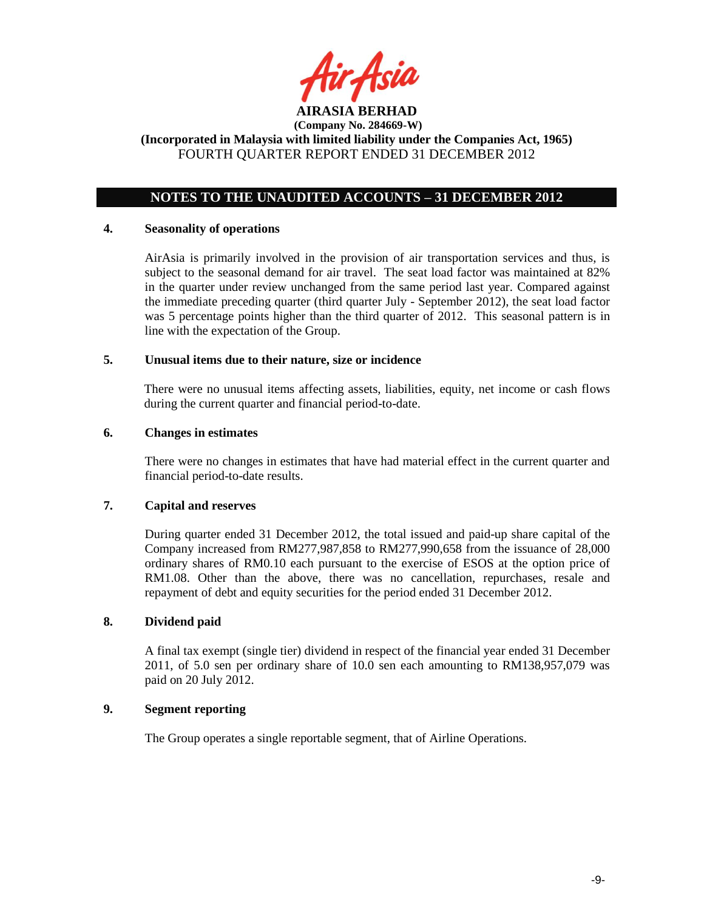

## **NOTES TO THE UNAUDITED ACCOUNTS – 31 DECEMBER 2012**

#### **4. Seasonality of operations**

AirAsia is primarily involved in the provision of air transportation services and thus, is subject to the seasonal demand for air travel. The seat load factor was maintained at 82% in the quarter under review unchanged from the same period last year. Compared against the immediate preceding quarter (third quarter July - September 2012), the seat load factor was 5 percentage points higher than the third quarter of 2012. This seasonal pattern is in line with the expectation of the Group.

### **5. Unusual items due to their nature, size or incidence**

There were no unusual items affecting assets, liabilities, equity, net income or cash flows during the current quarter and financial period-to-date.

### **6. Changes in estimates**

There were no changes in estimates that have had material effect in the current quarter and financial period-to-date results.

### **7. Capital and reserves**

During quarter ended 31 December 2012, the total issued and paid-up share capital of the Company increased from RM277,987,858 to RM277,990,658 from the issuance of 28,000 ordinary shares of RM0.10 each pursuant to the exercise of ESOS at the option price of RM1.08. Other than the above, there was no cancellation, repurchases, resale and repayment of debt and equity securities for the period ended 31 December 2012.

### **8. Dividend paid**

A final tax exempt (single tier) dividend in respect of the financial year ended 31 December 2011, of 5.0 sen per ordinary share of 10.0 sen each amounting to RM138,957,079 was paid on 20 July 2012.

### **9. Segment reporting**

The Group operates a single reportable segment, that of Airline Operations.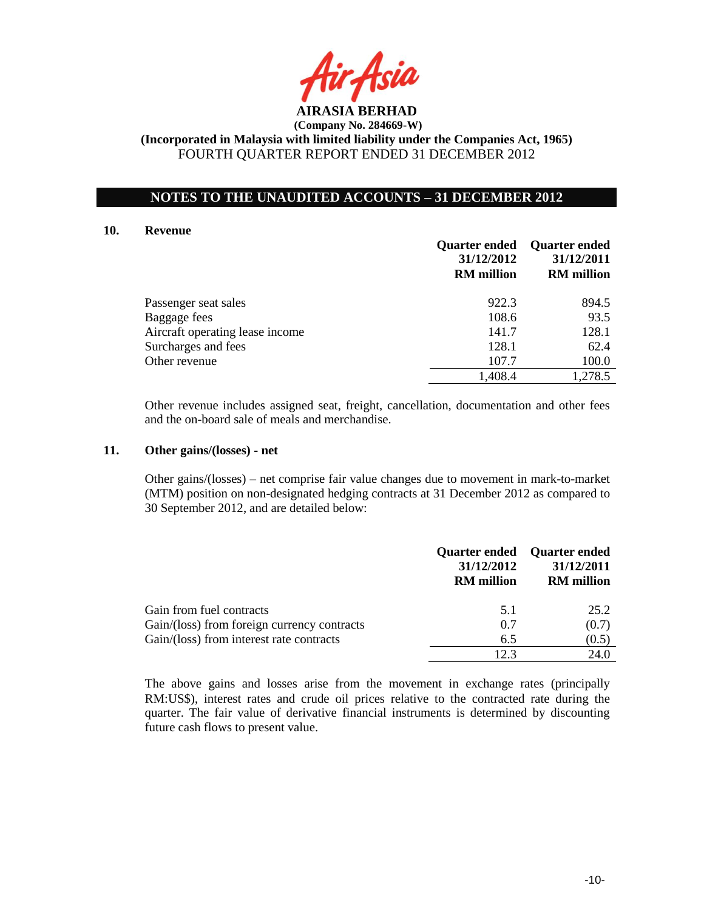

## **NOTES TO THE UNAUDITED ACCOUNTS – 31 DECEMBER 2012**

#### **10. Revenue**

|                                 | <b>Quarter ended</b><br>31/12/2012<br><b>RM</b> million | <b>Quarter ended</b><br>31/12/2011<br><b>RM</b> million |
|---------------------------------|---------------------------------------------------------|---------------------------------------------------------|
| Passenger seat sales            | 922.3                                                   | 894.5                                                   |
| Baggage fees                    | 108.6                                                   | 93.5                                                    |
| Aircraft operating lease income | 141.7                                                   | 128.1                                                   |
| Surcharges and fees             | 128.1                                                   | 62.4                                                    |
| Other revenue                   | 107.7                                                   | 100.0                                                   |
|                                 | 1,408.4                                                 | 1,278.5                                                 |

Other revenue includes assigned seat, freight, cancellation, documentation and other fees and the on-board sale of meals and merchandise.

### **11. Other gains/(losses) - net**

Other gains/(losses) – net comprise fair value changes due to movement in mark-to-market (MTM) position on non-designated hedging contracts at 31 December 2012 as compared to 30 September 2012, and are detailed below:

|                                             | 31/12/2012<br><b>RM</b> million | <b>Quarter ended</b> Quarter ended<br>31/12/2011<br><b>RM</b> million |
|---------------------------------------------|---------------------------------|-----------------------------------------------------------------------|
| Gain from fuel contracts                    | 5.1                             | 25.2                                                                  |
| Gain/(loss) from foreign currency contracts | 0.7                             | (0.7)                                                                 |
| Gain/(loss) from interest rate contracts    | 6.5                             | (0.5)                                                                 |
|                                             | 12.3                            | 24.0                                                                  |

The above gains and losses arise from the movement in exchange rates (principally RM:US\$), interest rates and crude oil prices relative to the contracted rate during the quarter. The fair value of derivative financial instruments is determined by discounting future cash flows to present value.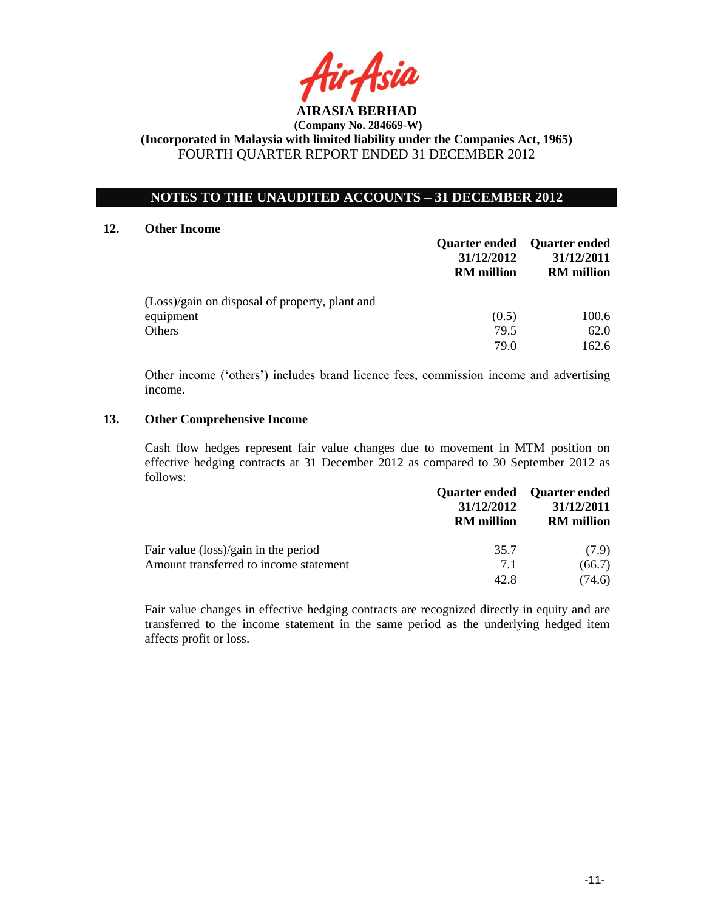

## **NOTES TO THE UNAUDITED ACCOUNTS – 31 DECEMBER 2012**

#### **12. Other Income**

|                                                | <b>Quarter ended</b><br>31/12/2012<br><b>RM</b> million | <b>Quarter ended</b><br>31/12/2011<br><b>RM</b> million |
|------------------------------------------------|---------------------------------------------------------|---------------------------------------------------------|
| (Loss)/gain on disposal of property, plant and |                                                         |                                                         |
| equipment                                      | (0.5)                                                   | 100.6                                                   |
| <b>Others</b>                                  | 79.5                                                    | 62.0                                                    |
|                                                | 79.0                                                    | 162.6                                                   |

Other income ('others') includes brand licence fees, commission income and advertising income.

### **13. Other Comprehensive Income**

Cash flow hedges represent fair value changes due to movement in MTM position on effective hedging contracts at 31 December 2012 as compared to 30 September 2012 as follows:

|                                        | <b>Quarter ended</b> Quarter ended<br>31/12/2012<br><b>RM</b> million | 31/12/2011<br><b>RM</b> million |
|----------------------------------------|-----------------------------------------------------------------------|---------------------------------|
| Fair value (loss)/gain in the period   | 35.7                                                                  | (7.9)                           |
| Amount transferred to income statement | 7.1                                                                   | (66.7)                          |
|                                        | 42.8                                                                  | 74.6)                           |

Fair value changes in effective hedging contracts are recognized directly in equity and are transferred to the income statement in the same period as the underlying hedged item affects profit or loss.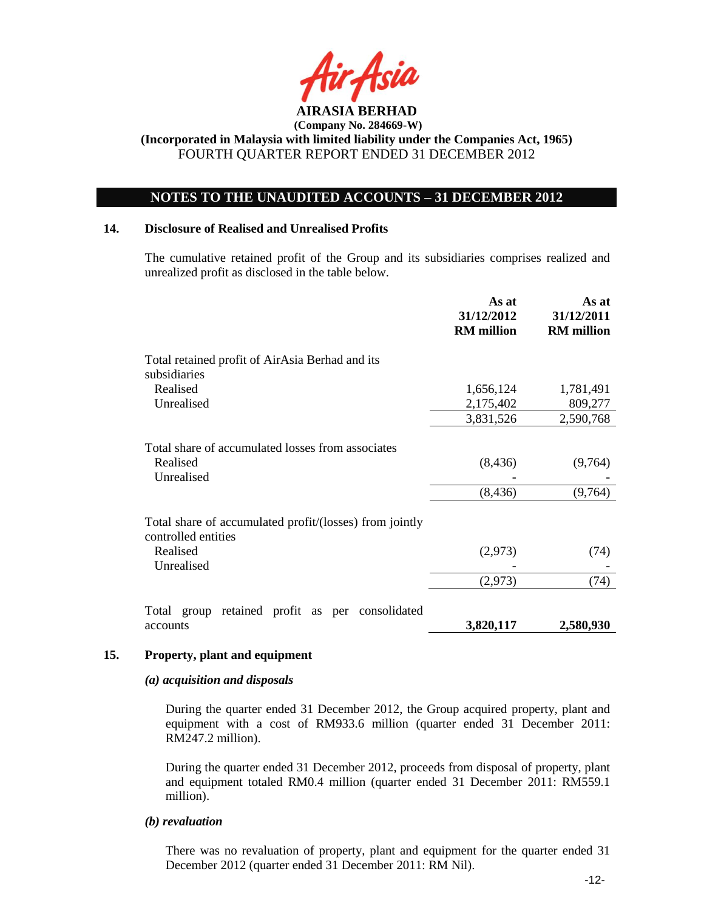

## **NOTES TO THE UNAUDITED ACCOUNTS – 31 DECEMBER 2012**

### **14. Disclosure of Realised and Unrealised Profits**

The cumulative retained profit of the Group and its subsidiaries comprises realized and unrealized profit as disclosed in the table below.

|                                                                                | As at<br>31/12/2012<br><b>RM</b> million | As at<br>31/12/2011<br><b>RM</b> million |
|--------------------------------------------------------------------------------|------------------------------------------|------------------------------------------|
| Total retained profit of AirAsia Berhad and its<br>subsidiaries                |                                          |                                          |
| Realised                                                                       | 1,656,124                                | 1,781,491                                |
| Unrealised                                                                     | 2,175,402                                | 809,277                                  |
|                                                                                | 3,831,526                                | 2,590,768                                |
| Total share of accumulated losses from associates<br>Realised<br>Unrealised    | (8, 436)                                 | (9,764)                                  |
|                                                                                | (8, 436)                                 | (9,764)                                  |
| Total share of accumulated profit/(losses) from jointly<br>controlled entities |                                          |                                          |
| Realised<br>Unrealised                                                         | (2,973)                                  | (74)                                     |
|                                                                                | (2,973)                                  | (74)                                     |
| retained profit as per consolidated<br>Total group                             |                                          |                                          |
| accounts                                                                       | 3,820,117                                | 2,580,930                                |

### **15. Property, plant and equipment**

#### *(a) acquisition and disposals*

During the quarter ended 31 December 2012, the Group acquired property, plant and equipment with a cost of RM933.6 million (quarter ended 31 December 2011:  $\overline{RM247.2}$  million).

During the quarter ended 31 December 2012, proceeds from disposal of property, plant and equipment totaled RM0.4 million (quarter ended 31 December 2011: RM559.1 million).

#### *(b) revaluation*

There was no revaluation of property, plant and equipment for the quarter ended 31 December 2012 (quarter ended 31 December 2011: RM Nil).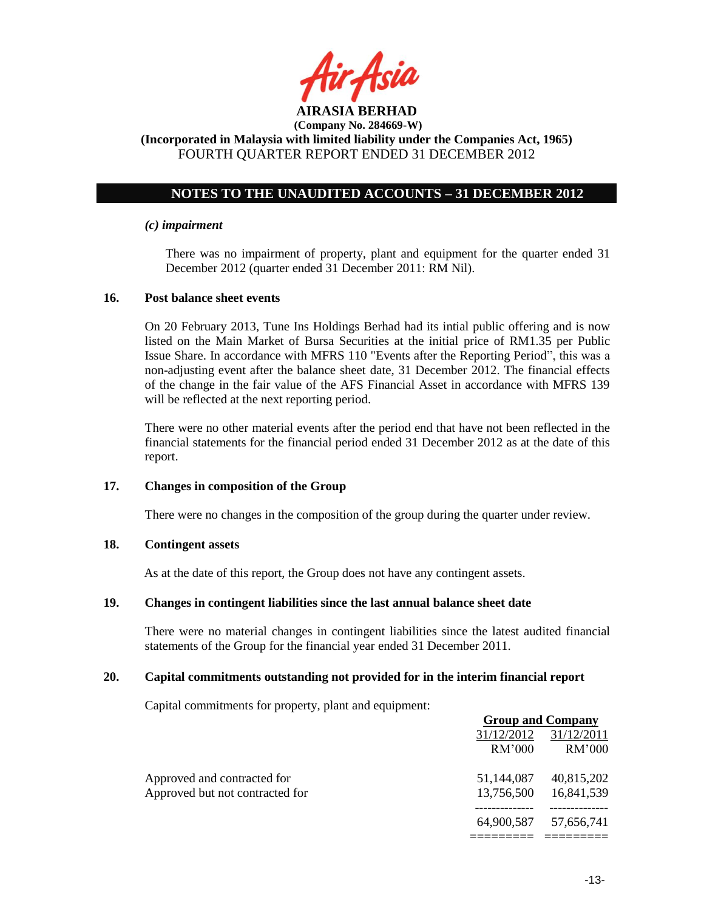

## **NOTES TO THE UNAUDITED ACCOUNTS – 31 DECEMBER 2012**

### *(c) impairment*

There was no impairment of property, plant and equipment for the quarter ended 31 December 2012 (quarter ended 31 December 2011: RM Nil).

### **16. Post balance sheet events**

On 20 February 2013, Tune Ins Holdings Berhad had its intial public offering and is now listed on the Main Market of Bursa Securities at the initial price of RM1.35 per Public Issue Share. In accordance with MFRS 110 "Events after the Reporting Period", this was a non-adjusting event after the balance sheet date, 31 December 2012. The financial effects of the change in the fair value of the AFS Financial Asset in accordance with MFRS 139 will be reflected at the next reporting period.

There were no other material events after the period end that have not been reflected in the financial statements for the financial period ended 31 December 2012 as at the date of this report.

#### **17. Changes in composition of the Group**

There were no changes in the composition of the group during the quarter under review.

### **18. Contingent assets**

As at the date of this report, the Group does not have any contingent assets.

### **19. Changes in contingent liabilities since the last annual balance sheet date**

There were no material changes in contingent liabilities since the latest audited financial statements of the Group for the financial year ended 31 December 2011.

### **20. Capital commitments outstanding not provided for in the interim financial report**

Capital commitments for property, plant and equipment:

|                                 |            | <b>Group and Company</b> |
|---------------------------------|------------|--------------------------|
|                                 | 31/12/2012 | 31/12/2011               |
|                                 | RM'000     | RM'000                   |
| Approved and contracted for     | 51,144,087 | 40,815,202               |
| Approved but not contracted for | 13,756,500 | 16,841,539               |
|                                 | 64,900,587 | 57,656,741               |
|                                 |            |                          |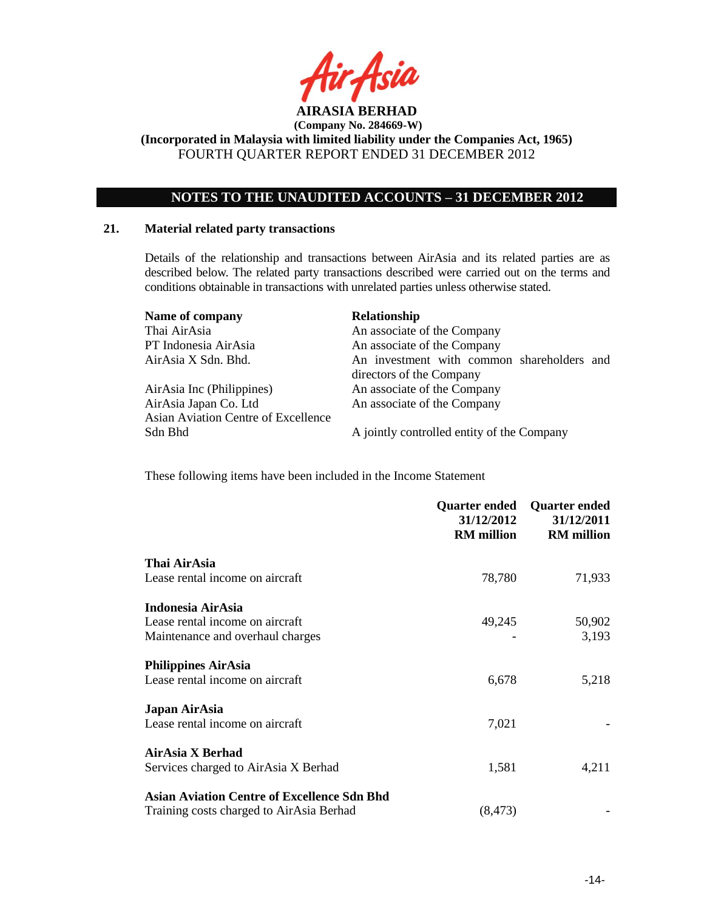

## **NOTES TO THE UNAUDITED ACCOUNTS – 31 DECEMBER 2012**

#### **21. Material related party transactions**

Details of the relationship and transactions between AirAsia and its related parties are as described below. The related party transactions described were carried out on the terms and conditions obtainable in transactions with unrelated parties unless otherwise stated.

| Name of company                     | Relationship                                                           |
|-------------------------------------|------------------------------------------------------------------------|
| Thai AirAsia                        | An associate of the Company                                            |
| PT Indonesia AirAsia                | An associate of the Company                                            |
| AirAsia X Sdn. Bhd.                 | An investment with common shareholders and<br>directors of the Company |
| AirAsia Inc (Philippines)           | An associate of the Company                                            |
| AirAsia Japan Co. Ltd               | An associate of the Company                                            |
| Asian Aviation Centre of Excellence |                                                                        |
| Sdn Bhd                             | A jointly controlled entity of the Company                             |

These following items have been included in the Income Statement

|                                                    | <b>Quarter ended</b><br>31/12/2012<br><b>RM</b> million | <b>Quarter ended</b><br>31/12/2011<br><b>RM</b> million |
|----------------------------------------------------|---------------------------------------------------------|---------------------------------------------------------|
| Thai AirAsia                                       |                                                         |                                                         |
| Lease rental income on aircraft                    | 78,780                                                  | 71,933                                                  |
| Indonesia AirAsia                                  |                                                         |                                                         |
| Lease rental income on aircraft                    | 49,245                                                  | 50,902                                                  |
| Maintenance and overhaul charges                   |                                                         | 3,193                                                   |
| <b>Philippines AirAsia</b>                         |                                                         |                                                         |
| Lease rental income on aircraft                    | 6,678                                                   | 5,218                                                   |
| Japan AirAsia                                      |                                                         |                                                         |
| Lease rental income on aircraft                    | 7,021                                                   |                                                         |
| AirAsia X Berhad                                   |                                                         |                                                         |
| Services charged to AirAsia X Berhad               | 1,581                                                   | 4,211                                                   |
| <b>Asian Aviation Centre of Excellence Sdn Bhd</b> |                                                         |                                                         |
| Training costs charged to AirAsia Berhad           | (8, 473)                                                |                                                         |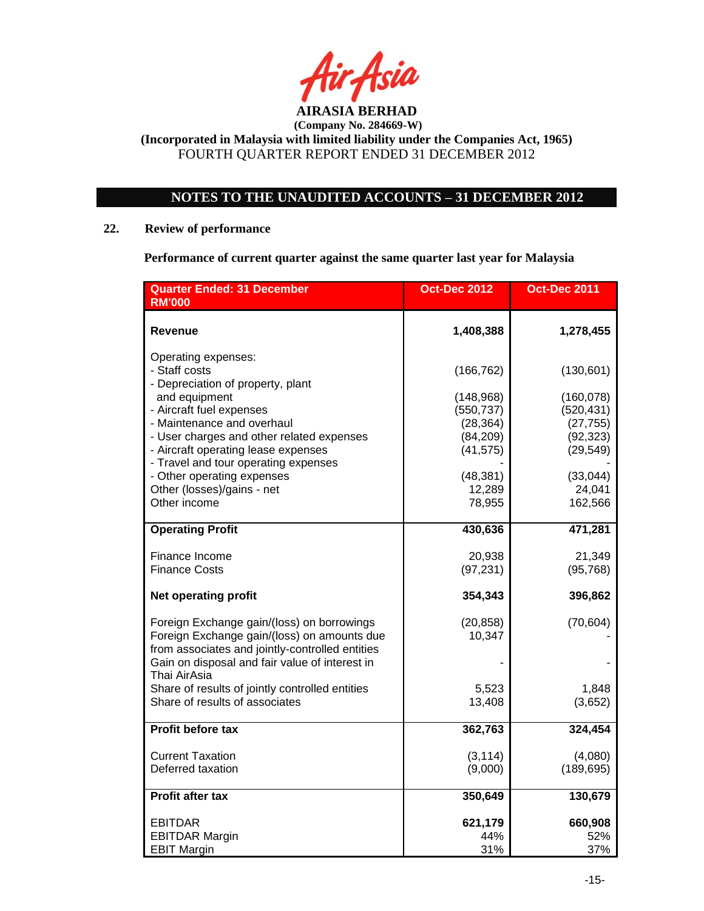

# **NOTES TO THE UNAUDITED ACCOUNTS – 31 DECEMBER 2012**

### **22. Review of performance**

**Performance of current quarter against the same quarter last year for Malaysia**

| <b>Quarter Ended: 31 December</b><br><b>RM'000</b>                                                                                           | <b>Oct-Dec 2012</b>                 | <b>Oct-Dec 2011</b>                 |
|----------------------------------------------------------------------------------------------------------------------------------------------|-------------------------------------|-------------------------------------|
| Revenue                                                                                                                                      | 1,408,388                           | 1,278,455                           |
| Operating expenses:<br>- Staff costs<br>- Depreciation of property, plant                                                                    | (166, 762)                          | (130, 601)                          |
| and equipment<br>- Aircraft fuel expenses                                                                                                    | (148, 968)<br>(550, 737)            | (160, 078)<br>(520, 431)            |
| - Maintenance and overhaul<br>- User charges and other related expenses<br>- Aircraft operating lease expenses                               | (28, 364)<br>(84, 209)<br>(41, 575) | (27, 755)<br>(92, 323)<br>(29, 549) |
| - Travel and tour operating expenses<br>- Other operating expenses                                                                           | (48, 381)                           | (33,044)                            |
| Other (losses)/gains - net<br>Other income                                                                                                   | 12,289<br>78,955                    | 24,041<br>162,566                   |
| <b>Operating Profit</b>                                                                                                                      | 430,636                             | 471,281                             |
| Finance Income<br><b>Finance Costs</b>                                                                                                       | 20,938<br>(97, 231)                 | 21,349<br>(95, 768)                 |
| <b>Net operating profit</b>                                                                                                                  | 354,343                             | 396,862                             |
| Foreign Exchange gain/(loss) on borrowings<br>Foreign Exchange gain/(loss) on amounts due<br>from associates and jointly-controlled entities | (20, 858)<br>10,347                 | (70, 604)                           |
| Gain on disposal and fair value of interest in<br>Thai AirAsia                                                                               |                                     |                                     |
| Share of results of jointly controlled entities<br>Share of results of associates                                                            | 5,523<br>13,408                     | 1,848<br>(3,652)                    |
| Profit before tax                                                                                                                            | 362,763                             | 324,454                             |
| <b>Current Taxation</b><br>Deferred taxation                                                                                                 | (3, 114)<br>(9,000)                 | (4,080)<br>(189, 695)               |
| Profit after tax                                                                                                                             | 350,649                             | 130,679                             |
| EBITDAR                                                                                                                                      | 621,179                             | 660,908                             |
| <b>EBITDAR Margin</b><br><b>EBIT Margin</b>                                                                                                  | 44%<br>31%                          | 52%<br>37%                          |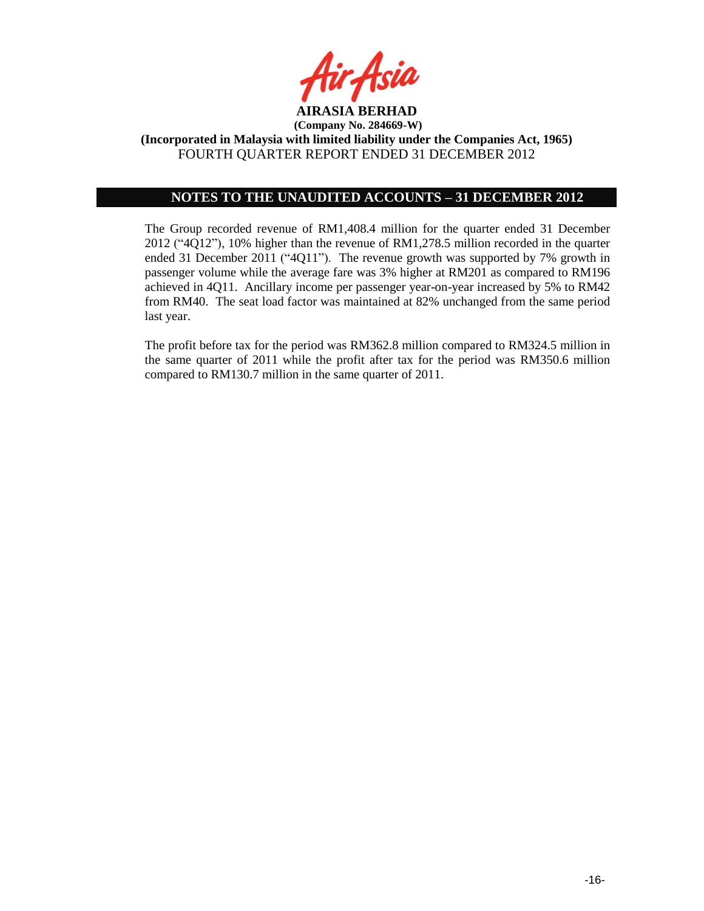

## **NOTES TO THE UNAUDITED ACCOUNTS – 31 DECEMBER 2012**

The Group recorded revenue of RM1,408.4 million for the quarter ended 31 December 2012 ("4Q12"), 10% higher than the revenue of RM1,278.5 million recorded in the quarter ended 31 December 2011 ("4Q11"). The revenue growth was supported by 7% growth in passenger volume while the average fare was 3% higher at RM201 as compared to RM196 achieved in 4Q11. Ancillary income per passenger year-on-year increased by 5% to RM42 from RM40. The seat load factor was maintained at 82% unchanged from the same period last year.

The profit before tax for the period was RM362.8 million compared to RM324.5 million in the same quarter of 2011 while the profit after tax for the period was RM350.6 million compared to RM130.7 million in the same quarter of 2011.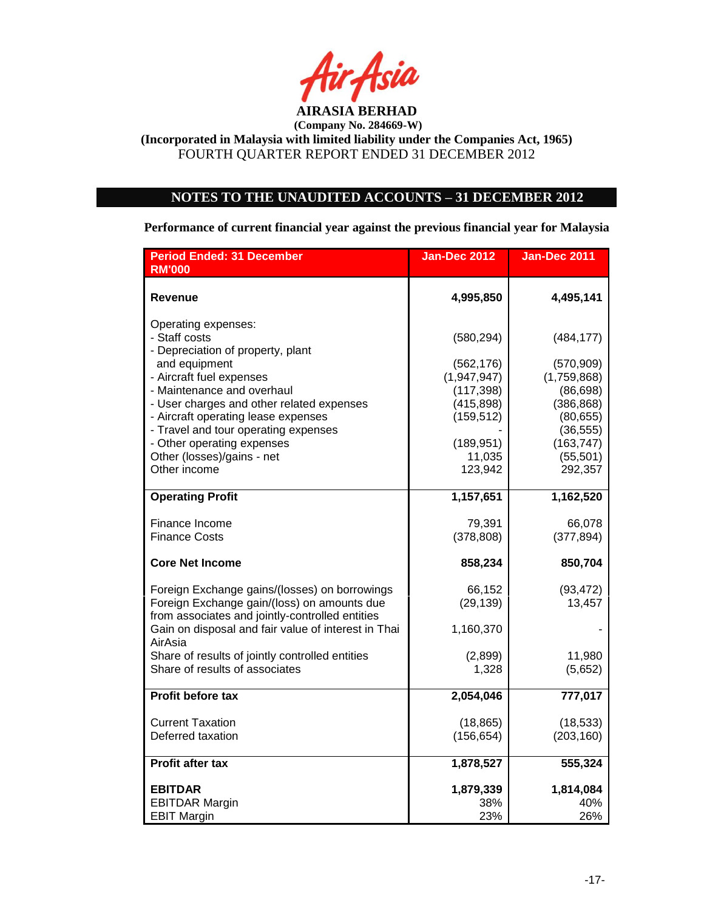

# **NOTES TO THE UNAUDITED ACCOUNTS – 31 DECEMBER 2012**

**Performance of current financial year against the previous financial year for Malaysia**

| <b>Period Ended: 31 December</b><br><b>RM'000</b>                                              | <b>Jan-Dec 2012</b>      | <b>Jan-Dec 2011</b>     |
|------------------------------------------------------------------------------------------------|--------------------------|-------------------------|
|                                                                                                |                          |                         |
| Revenue                                                                                        | 4,995,850                | 4,495,141               |
| Operating expenses:                                                                            |                          |                         |
| - Staff costs<br>- Depreciation of property, plant                                             | (580, 294)               | (484, 177)              |
| and equipment                                                                                  | (562, 176)               | (570, 909)              |
| - Aircraft fuel expenses                                                                       | (1,947,947)              | (1,759,868)             |
| - Maintenance and overhaul<br>- User charges and other related expenses                        | (117, 398)<br>(415, 898) | (86, 698)<br>(386, 868) |
| - Aircraft operating lease expenses                                                            | (159, 512)               | (80, 655)               |
| - Travel and tour operating expenses<br>- Other operating expenses                             | (189, 951)               | (36, 555)<br>(163, 747) |
| Other (losses)/gains - net                                                                     | 11,035                   | (55, 501)               |
| Other income                                                                                   | 123,942                  | 292,357                 |
| <b>Operating Profit</b>                                                                        | 1,157,651                | 1,162,520               |
|                                                                                                |                          |                         |
| Finance Income<br><b>Finance Costs</b>                                                         | 79,391<br>(378, 808)     | 66,078<br>(377, 894)    |
|                                                                                                |                          |                         |
| <b>Core Net Income</b>                                                                         | 858,234                  | 850,704                 |
| Foreign Exchange gains/(losses) on borrowings                                                  | 66,152                   | (93, 472)               |
| Foreign Exchange gain/(loss) on amounts due<br>from associates and jointly-controlled entities | (29, 139)                | 13,457                  |
| Gain on disposal and fair value of interest in Thai                                            | 1,160,370                |                         |
| AirAsia                                                                                        |                          |                         |
| Share of results of jointly controlled entities<br>Share of results of associates              | (2,899)<br>1,328         | 11,980<br>(5,652)       |
|                                                                                                |                          |                         |
| Profit before tax                                                                              | 2,054,046                | 777,017                 |
| <b>Current Taxation</b>                                                                        | (18, 865)                | (18, 533)               |
| Deferred taxation                                                                              | (156, 654)               | (203, 160)              |
| <b>Profit after tax</b>                                                                        | 1,878,527                | 555,324                 |
| <b>EBITDAR</b>                                                                                 | 1,879,339                | 1,814,084               |
| <b>EBITDAR Margin</b>                                                                          | 38%                      | 40%                     |
| <b>EBIT Margin</b>                                                                             | 23%                      | 26%                     |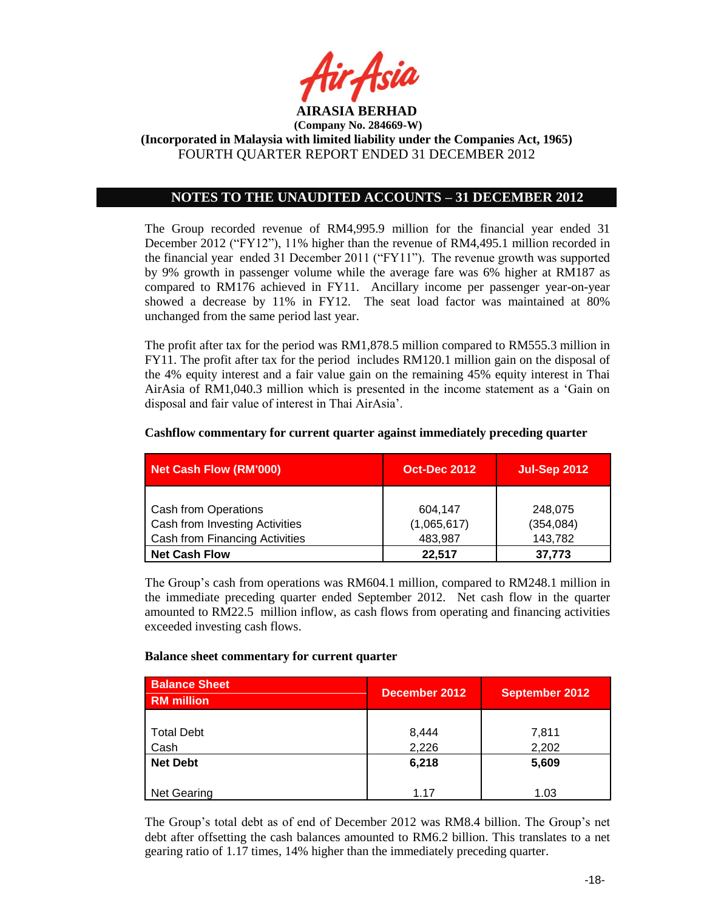

## **NOTES TO THE UNAUDITED ACCOUNTS – 31 DECEMBER 2012**

The Group recorded revenue of RM4,995.9 million for the financial year ended 31 December 2012 ("FY12"), 11% higher than the revenue of RM4,495.1 million recorded in the financial year ended 31 December 2011 ("FY11"). The revenue growth was supported by 9% growth in passenger volume while the average fare was 6% higher at RM187 as compared to RM176 achieved in FY11. Ancillary income per passenger year-on-year showed a decrease by 11% in FY12. The seat load factor was maintained at 80% unchanged from the same period last year.

The profit after tax for the period was RM1,878.5 million compared to RM555.3 million in FY11. The profit after tax for the period includes RM120.1 million gain on the disposal of the 4% equity interest and a fair value gain on the remaining 45% equity interest in Thai AirAsia of RM1,040.3 million which is presented in the income statement as a 'Gain on disposal and fair value of interest in Thai AirAsia'.

| <b>Net Cash Flow (RM'000)</b>  | <b>Oct-Dec 2012</b> | <b>Jul-Sep 2012</b> |
|--------------------------------|---------------------|---------------------|
|                                |                     |                     |
| <b>Cash from Operations</b>    | 604.147             | 248,075             |
| Cash from Investing Activities | (1,065,617)         | (354, 084)          |
| Cash from Financing Activities | 483,987             | 143,782             |
| <b>Net Cash Flow</b>           | 22.517              | 37.773              |

#### **Cashflow commentary for current quarter against immediately preceding quarter**

The Group's cash from operations was RM604.1 million, compared to RM248.1 million in the immediate preceding quarter ended September 2012. Net cash flow in the quarter amounted to RM22.5 million inflow, as cash flows from operating and financing activities exceeded investing cash flows.

#### **Balance sheet commentary for current quarter**

| <b>Balance Sheet</b><br><b>RM</b> million | December 2012  | <b>September 2012</b> |
|-------------------------------------------|----------------|-----------------------|
| <b>Total Debt</b><br>Cash                 | 8,444<br>2,226 | 7,811<br>2,202        |
| <b>Net Debt</b>                           | 6,218          | 5,609                 |
| Net Gearing                               | 1.17           | 1.03                  |

The Group's total debt as of end of December 2012 was RM8.4 billion. The Group's net debt after offsetting the cash balances amounted to RM6.2 billion. This translates to a net gearing ratio of 1.17 times, 14% higher than the immediately preceding quarter.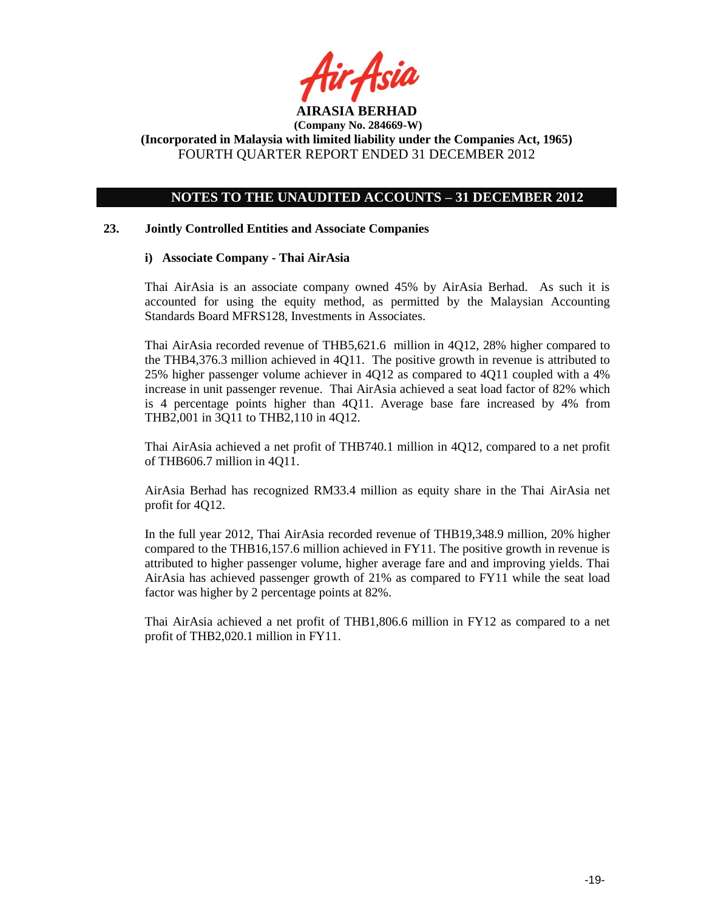

## **NOTES TO THE UNAUDITED ACCOUNTS – 31 DECEMBER 2012**

### **23. Jointly Controlled Entities and Associate Companies**

### **i) Associate Company - Thai AirAsia**

Thai AirAsia is an associate company owned 45% by AirAsia Berhad. As such it is accounted for using the equity method, as permitted by the Malaysian Accounting Standards Board MFRS128, Investments in Associates.

Thai AirAsia recorded revenue of THB5,621.6 million in 4Q12, 28% higher compared to the THB4,376.3 million achieved in 4Q11. The positive growth in revenue is attributed to 25% higher passenger volume achiever in 4Q12 as compared to 4Q11 coupled with a 4% increase in unit passenger revenue. Thai AirAsia achieved a seat load factor of 82% which is 4 percentage points higher than 4Q11. Average base fare increased by 4% from THB2,001 in 3Q11 to THB2,110 in 4Q12.

Thai AirAsia achieved a net profit of THB740.1 million in 4Q12, compared to a net profit of THB606.7 million in 4Q11.

AirAsia Berhad has recognized RM33.4 million as equity share in the Thai AirAsia net profit for 4Q12.

In the full year 2012, Thai AirAsia recorded revenue of THB19,348.9 million, 20% higher compared to the THB16,157.6 million achieved in FY11. The positive growth in revenue is attributed to higher passenger volume, higher average fare and and improving yields. Thai AirAsia has achieved passenger growth of 21% as compared to FY11 while the seat load factor was higher by 2 percentage points at 82%.

Thai AirAsia achieved a net profit of THB1,806.6 million in FY12 as compared to a net profit of THB2,020.1 million in FY11.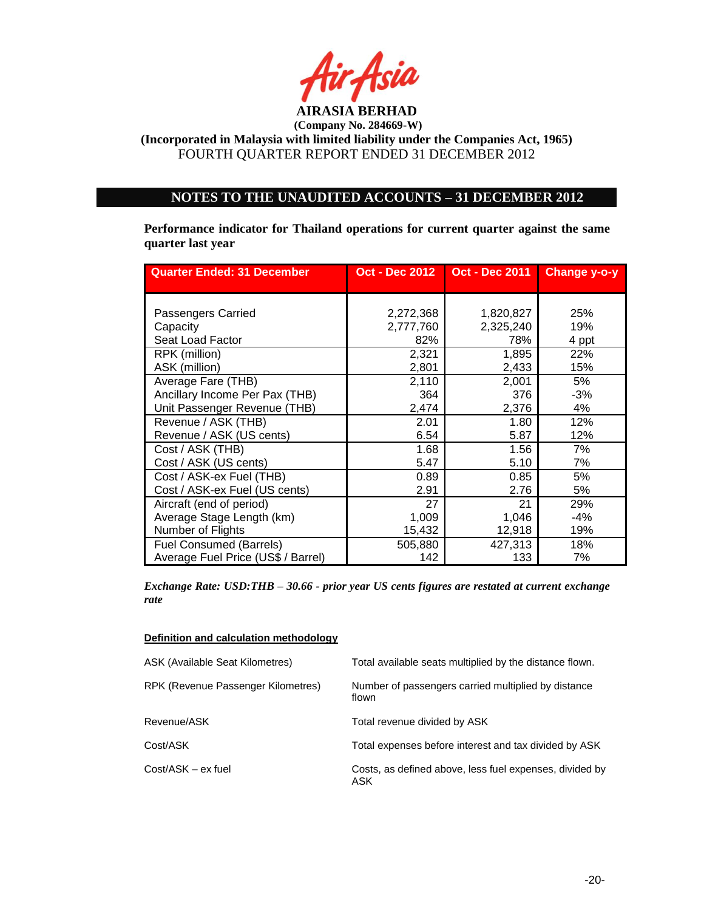

## **NOTES TO THE UNAUDITED ACCOUNTS – 31 DECEMBER 2012**

**Performance indicator for Thailand operations for current quarter against the same quarter last year**

| <b>Quarter Ended: 31 December</b>  | <b>Oct - Dec 2012</b> | <b>Oct - Dec 2011</b> | Change y-o-y |
|------------------------------------|-----------------------|-----------------------|--------------|
|                                    |                       |                       |              |
| Passengers Carried                 | 2,272,368             | 1,820,827             | 25%          |
| Capacity                           | 2,777,760             | 2,325,240             | 19%          |
| Seat Load Factor                   | 82%                   | 78%                   | 4 ppt        |
| RPK (million)                      | 2,321                 | 1,895                 | 22%          |
| ASK (million)                      | 2,801                 | 2,433                 | 15%          |
| Average Fare (THB)                 | 2,110                 | 2,001                 | 5%           |
| Ancillary Income Per Pax (THB)     | 364                   | 376                   | $-3%$        |
| Unit Passenger Revenue (THB)       | 2,474                 | 2,376                 | 4%           |
| Revenue / ASK (THB)                | 2.01                  | 1.80                  | 12%          |
| Revenue / ASK (US cents)           | 6.54                  | 5.87                  | 12%          |
| Cost / ASK (THB)                   | 1.68                  | 1.56                  | 7%           |
| Cost / ASK (US cents)              | 5.47                  | 5.10                  | 7%           |
| Cost / ASK-ex Fuel (THB)           | 0.89                  | 0.85                  | 5%           |
| Cost / ASK-ex Fuel (US cents)      | 2.91                  | 2.76                  | 5%           |
| Aircraft (end of period)           | 27                    | 21                    | 29%          |
| Average Stage Length (km)          | 1,009                 | 1,046                 | -4%          |
| Number of Flights                  | 15,432                | 12,918                | 19%          |
| <b>Fuel Consumed (Barrels)</b>     | 505,880               | 427,313               | 18%          |
| Average Fuel Price (US\$ / Barrel) | 142                   | 133                   | 7%           |

*Exchange Rate: USD:THB – 30.66 - prior year US cents figures are restated at current exchange rate*

#### **Definition and calculation methodology**

| ASK (Available Seat Kilometres)    | Total available seats multiplied by the distance flown.        |
|------------------------------------|----------------------------------------------------------------|
| RPK (Revenue Passenger Kilometres) | Number of passengers carried multiplied by distance<br>flown   |
| Revenue/ASK                        | Total revenue divided by ASK                                   |
| Cost/ASK                           | Total expenses before interest and tax divided by ASK          |
| Cost/ASK - ex fuel                 | Costs, as defined above, less fuel expenses, divided by<br>ASK |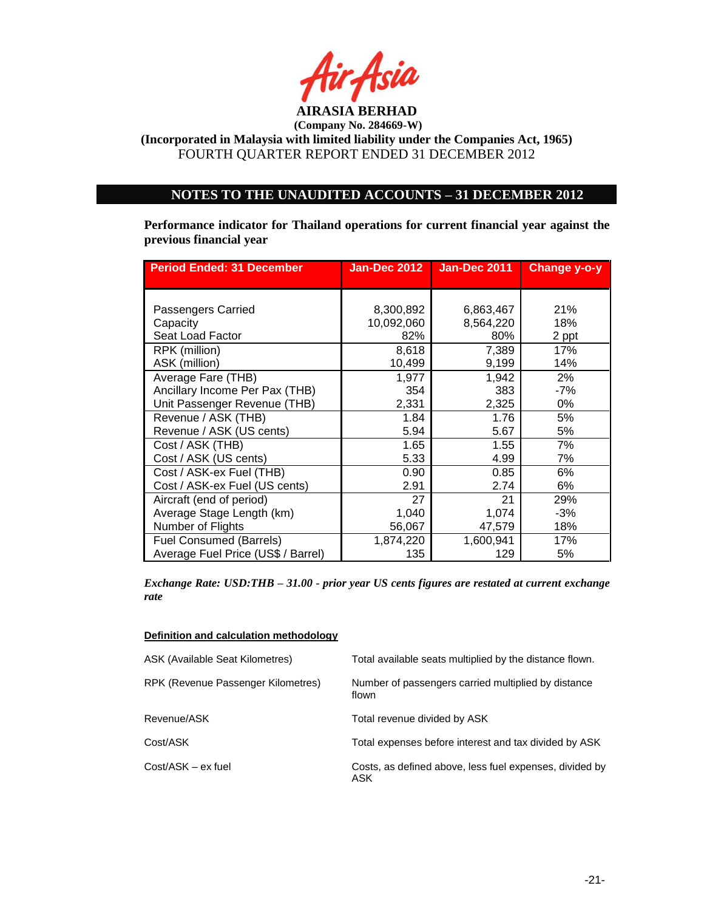

**(Company No. 284669-W)**

**(Incorporated in Malaysia with limited liability under the Companies Act, 1965)** FOURTH QUARTER REPORT ENDED 31 DECEMBER 2012

### **NOTES TO THE UNAUDITED ACCOUNTS – 31 DECEMBER 2012**

**Performance indicator for Thailand operations for current financial year against the previous financial year** 

| <b>Period Ended: 31 December</b>   | <b>Jan-Dec 2012</b> | <b>Jan-Dec 2011</b> | Change y-o-y |
|------------------------------------|---------------------|---------------------|--------------|
|                                    |                     |                     |              |
| Passengers Carried                 | 8,300,892           | 6,863,467           | 21%          |
| Capacity                           | 10,092,060          | 8,564,220           | 18%          |
| Seat Load Factor                   | 82%                 | 80%                 | 2 ppt        |
| RPK (million)                      | 8,618               | 7,389               | 17%          |
| ASK (million)                      | 10,499              | 9,199               | 14%          |
| Average Fare (THB)                 | 1,977               | 1,942               | 2%           |
| Ancillary Income Per Pax (THB)     | 354                 | 383                 | -7%          |
| Unit Passenger Revenue (THB)       | 2,331               | 2,325               | $0\%$        |
| Revenue / ASK (THB)                | 1.84                | 1.76                | 5%           |
| Revenue / ASK (US cents)           | 5.94                | 5.67                | 5%           |
| Cost / ASK (THB)                   | 1.65                | 1.55                | 7%           |
| Cost / ASK (US cents)              | 5.33                | 4.99                | 7%           |
| Cost / ASK-ex Fuel (THB)           | 0.90                | 0.85                | 6%           |
| Cost / ASK-ex Fuel (US cents)      | 2.91                | 2.74                | 6%           |
| Aircraft (end of period)           | 27                  | 21                  | 29%          |
| Average Stage Length (km)          | 1,040               | 1,074               | $-3%$        |
| Number of Flights                  | 56,067              | 47,579              | 18%          |
| <b>Fuel Consumed (Barrels)</b>     | 1,874,220           | 1,600,941           | 17%          |
| Average Fuel Price (US\$ / Barrel) | 135                 | 129                 | 5%           |

*Exchange Rate: USD:THB – 31.00 - prior year US cents figures are restated at current exchange rate*

#### **Definition and calculation methodology**

| <b>ASK (Available Seat Kilometres)</b> | Total available seats multiplied by the distance flown.        |
|----------------------------------------|----------------------------------------------------------------|
| RPK (Revenue Passenger Kilometres)     | Number of passengers carried multiplied by distance<br>flown   |
| Revenue/ASK                            | Total revenue divided by ASK                                   |
| Cost/ASK                               | Total expenses before interest and tax divided by ASK          |
| Cost/ASK - ex fuel                     | Costs, as defined above, less fuel expenses, divided by<br>ASK |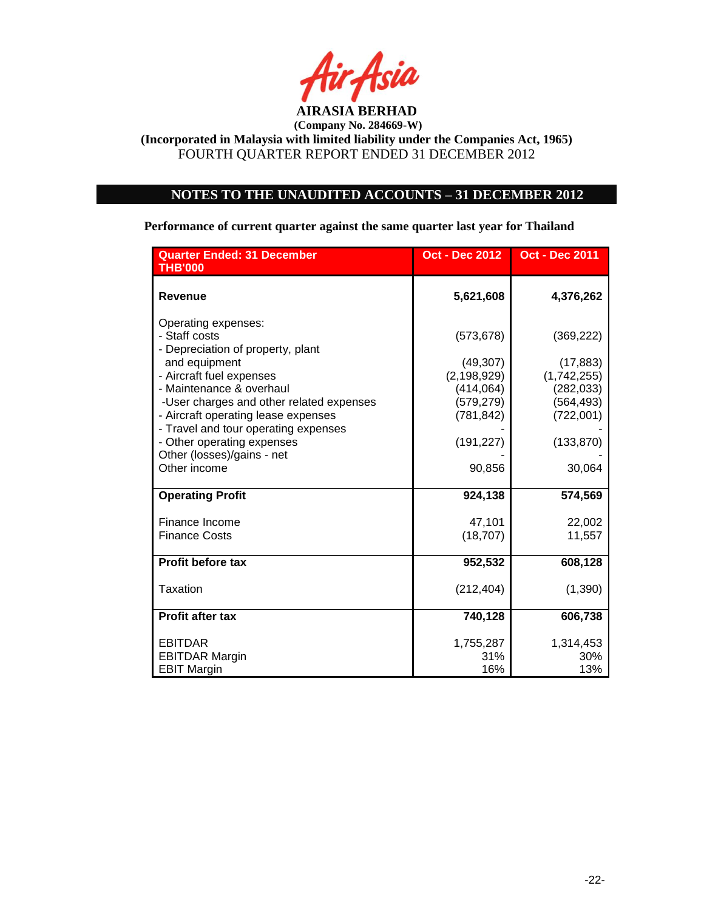

# **NOTES TO THE UNAUDITED ACCOUNTS – 31 DECEMBER 2012**

**Performance of current quarter against the same quarter last year for Thailand**

| <b>Quarter Ended: 31 December</b><br><b>THB'000</b>                                                                                                                                            | <b>Oct - Dec 2012</b>                                                | <b>Oct - Dec 2011</b>                                              |
|------------------------------------------------------------------------------------------------------------------------------------------------------------------------------------------------|----------------------------------------------------------------------|--------------------------------------------------------------------|
| <b>Revenue</b>                                                                                                                                                                                 | 5,621,608                                                            | 4,376,262                                                          |
| Operating expenses:<br>- Staff costs<br>- Depreciation of property, plant<br>and equipment<br>- Aircraft fuel expenses<br>- Maintenance & overhaul<br>-User charges and other related expenses | (573, 678)<br>(49, 307)<br>(2, 198, 929)<br>(414, 064)<br>(579, 279) | (369, 222)<br>(17, 883)<br>(1,742,255)<br>(282, 033)<br>(564, 493) |
| - Aircraft operating lease expenses<br>- Travel and tour operating expenses<br>- Other operating expenses<br>Other (losses)/gains - net<br>Other income                                        | (781, 842)<br>(191, 227)<br>90,856                                   | (722,001)<br>(133, 870)<br>30,064                                  |
| <b>Operating Profit</b>                                                                                                                                                                        | 924,138                                                              | 574,569                                                            |
| Finance Income<br><b>Finance Costs</b>                                                                                                                                                         | 47,101<br>(18, 707)                                                  | 22,002<br>11,557                                                   |
| Profit before tax                                                                                                                                                                              | 952,532                                                              | 608,128                                                            |
| Taxation                                                                                                                                                                                       | (212, 404)                                                           | (1,390)                                                            |
| <b>Profit after tax</b>                                                                                                                                                                        | 740,128                                                              | 606,738                                                            |
| <b>EBITDAR</b><br><b>EBITDAR Margin</b><br><b>EBIT Margin</b>                                                                                                                                  | 1,755,287<br>31%<br>16%                                              | 1,314,453<br>30%<br>13%                                            |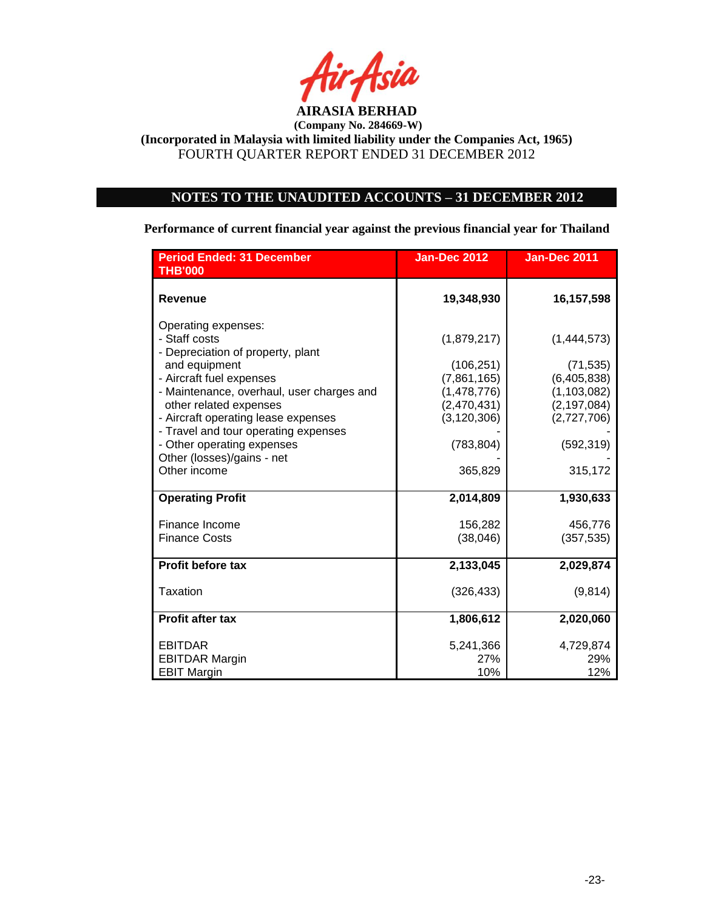

# **NOTES TO THE UNAUDITED ACCOUNTS – 31 DECEMBER 2012**

**Performance of current financial year against the previous financial year for Thailand**

| <b>Period Ended: 31 December</b><br><b>THB'000</b>                                                    | <b>Jan-Dec 2012</b>          | <b>Jan-Dec 2011</b>          |
|-------------------------------------------------------------------------------------------------------|------------------------------|------------------------------|
| <b>Revenue</b>                                                                                        | 19,348,930                   | 16,157,598                   |
| Operating expenses:<br>- Staff costs<br>- Depreciation of property, plant                             | (1,879,217)                  | (1,444,573)                  |
| and equipment                                                                                         | (106, 251)                   | (71, 535)                    |
| - Aircraft fuel expenses                                                                              | (7,861,165)                  | (6, 405, 838)                |
| - Maintenance, overhaul, user charges and                                                             | (1,478,776)                  | (1, 103, 082)                |
| other related expenses<br>- Aircraft operating lease expenses<br>- Travel and tour operating expenses | (2,470,431)<br>(3, 120, 306) | (2, 197, 084)<br>(2,727,706) |
| - Other operating expenses<br>Other (losses)/gains - net                                              | (783, 804)                   | (592, 319)                   |
| Other income                                                                                          | 365,829                      | 315,172                      |
| <b>Operating Profit</b>                                                                               | 2,014,809                    | 1,930,633                    |
| Finance Income                                                                                        | 156,282                      | 456,776                      |
| <b>Finance Costs</b>                                                                                  | (38, 046)                    | (357, 535)                   |
| Profit before tax                                                                                     | 2,133,045                    | 2,029,874                    |
| Taxation                                                                                              | (326, 433)                   | (9,814)                      |
| <b>Profit after tax</b>                                                                               | 1,806,612                    | 2,020,060                    |
| <b>EBITDAR</b>                                                                                        | 5,241,366                    | 4,729,874                    |
| <b>EBITDAR Margin</b>                                                                                 | 27%                          | 29%                          |
| <b>EBIT Margin</b>                                                                                    | 10%                          | 12%                          |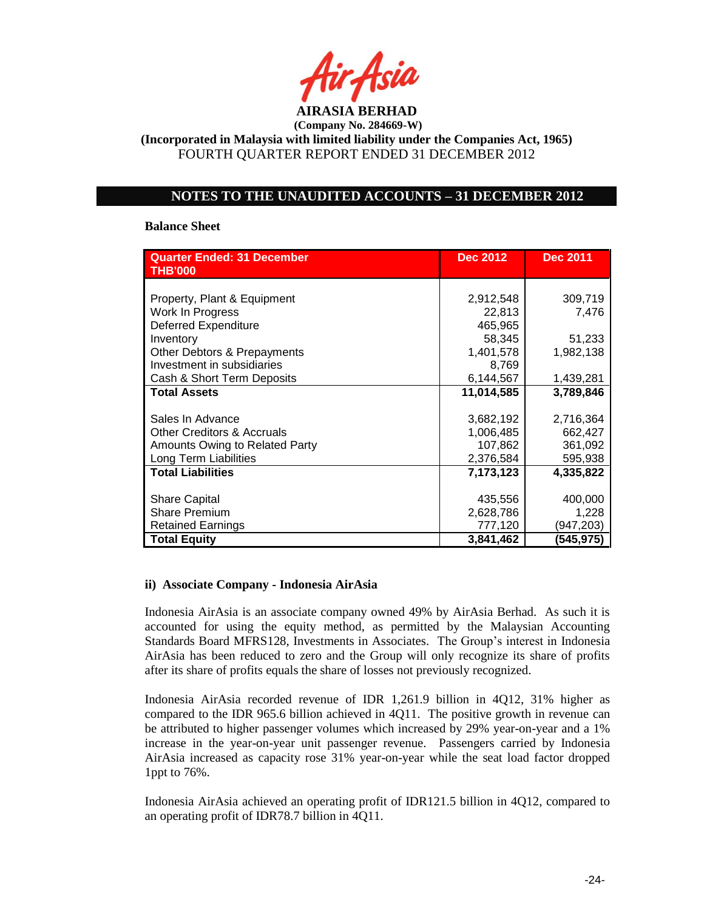

## **NOTES TO THE UNAUDITED ACCOUNTS – 31 DECEMBER 2012**

#### **Balance Sheet**

| <b>Quarter Ended: 31 December</b><br><b>THB'000</b> | <b>Dec 2012</b> | <b>Dec 2011</b> |
|-----------------------------------------------------|-----------------|-----------------|
|                                                     |                 |                 |
| Property, Plant & Equipment                         | 2,912,548       | 309,719         |
| Work In Progress                                    | 22,813          | 7,476           |
| Deferred Expenditure                                | 465,965         |                 |
| Inventory                                           | 58,345          | 51,233          |
| Other Debtors & Prepayments                         | 1,401,578       | 1,982,138       |
| Investment in subsidiaries                          | 8,769           |                 |
| Cash & Short Term Deposits                          | 6,144,567       | 1,439,281       |
| <b>Total Assets</b>                                 | 11,014,585      | 3,789,846       |
|                                                     |                 |                 |
| Sales In Advance                                    | 3,682,192       | 2,716,364       |
| <b>Other Creditors &amp; Accruals</b>               | 1,006,485       | 662,427         |
| Amounts Owing to Related Party                      | 107,862         | 361,092         |
| Long Term Liabilities                               | 2,376,584       | 595,938         |
| <b>Total Liabilities</b>                            | 7,173,123       | 4,335,822       |
| <b>Share Capital</b>                                | 435,556         | 400,000         |
| <b>Share Premium</b>                                | 2,628,786       | 1,228           |
| <b>Retained Earnings</b>                            | 777,120         | (947, 203)      |
| <b>Total Equity</b>                                 | 3,841,462       | (545,975)       |

### **ii) Associate Company - Indonesia AirAsia**

Indonesia AirAsia is an associate company owned 49% by AirAsia Berhad. As such it is accounted for using the equity method, as permitted by the Malaysian Accounting Standards Board MFRS128, Investments in Associates. The Group's interest in Indonesia AirAsia has been reduced to zero and the Group will only recognize its share of profits after its share of profits equals the share of losses not previously recognized.

Indonesia AirAsia recorded revenue of IDR 1,261.9 billion in 4Q12, 31% higher as compared to the IDR 965.6 billion achieved in 4Q11. The positive growth in revenue can be attributed to higher passenger volumes which increased by 29% year-on-year and a 1% increase in the year-on-year unit passenger revenue. Passengers carried by Indonesia AirAsia increased as capacity rose 31% year-on-year while the seat load factor dropped 1ppt to 76%.

Indonesia AirAsia achieved an operating profit of IDR121.5 billion in 4Q12, compared to an operating profit of IDR78.7 billion in 4Q11.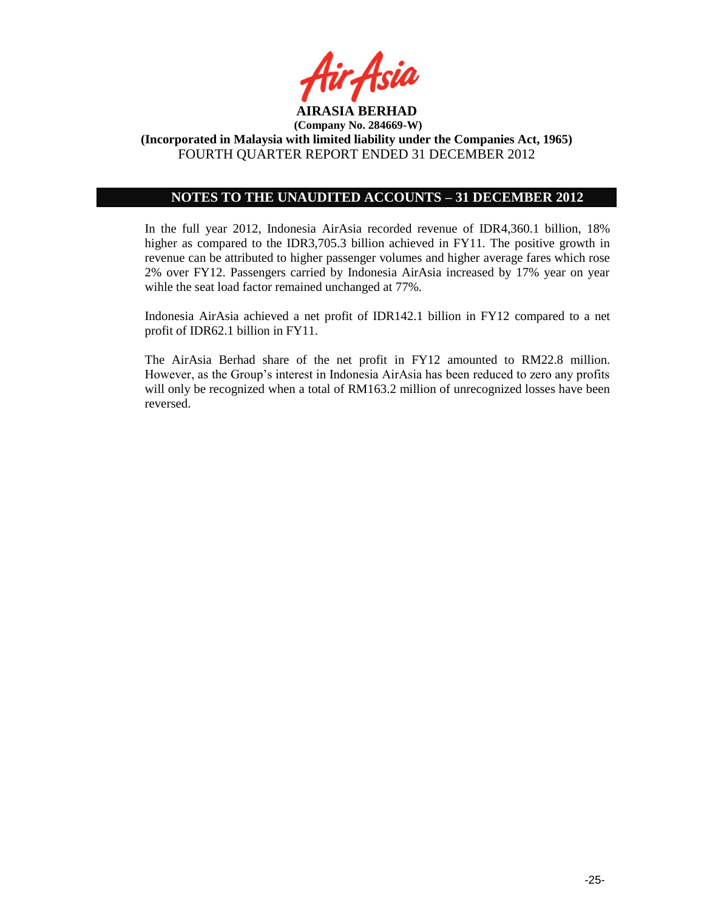

## **NOTES TO THE UNAUDITED ACCOUNTS – 31 DECEMBER 2012**

In the full year 2012, Indonesia AirAsia recorded revenue of IDR4,360.1 billion, 18% higher as compared to the IDR3,705.3 billion achieved in FY11. The positive growth in revenue can be attributed to higher passenger volumes and higher average fares which rose 2% over FY12. Passengers carried by Indonesia AirAsia increased by 17% year on year wihle the seat load factor remained unchanged at 77%.

Indonesia AirAsia achieved a net profit of IDR142.1 billion in FY12 compared to a net profit of IDR62.1 billion in FY11.

The AirAsia Berhad share of the net profit in FY12 amounted to RM22.8 million. However, as the Group's interest in Indonesia AirAsia has been reduced to zero any profits will only be recognized when a total of RM163.2 million of unrecognized losses have been reversed.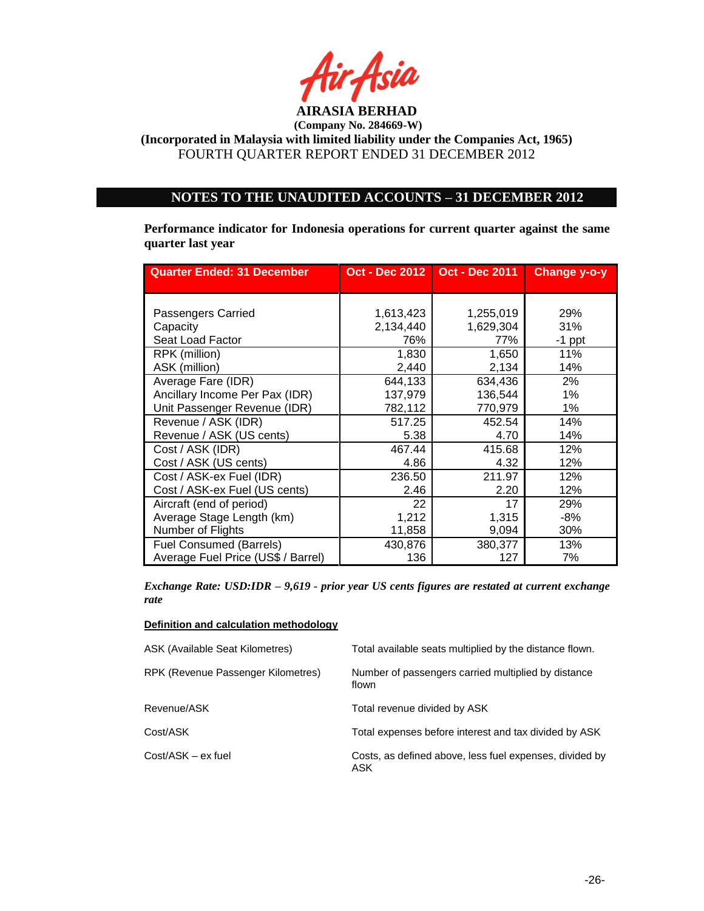

## **NOTES TO THE UNAUDITED ACCOUNTS – 31 DECEMBER 2012**

**Performance indicator for Indonesia operations for current quarter against the same quarter last year**

| <b>Quarter Ended: 31 December</b>  |           | Oct - Dec 2012   Oct - Dec 2011 | <b>Change y-o-y</b> |
|------------------------------------|-----------|---------------------------------|---------------------|
|                                    |           |                                 |                     |
|                                    |           |                                 |                     |
| Passengers Carried                 | 1,613,423 | 1,255,019                       | 29%                 |
| Capacity                           | 2,134,440 | 1,629,304                       | 31%                 |
| Seat Load Factor                   | 76%       | 77%                             | $-1$ ppt            |
| RPK (million)                      | 1,830     | 1,650                           | 11%                 |
| ASK (million)                      | 2,440     | 2,134                           | 14%                 |
| Average Fare (IDR)                 | 644,133   | 634,436                         | 2%                  |
| Ancillary Income Per Pax (IDR)     | 137,979   | 136,544                         | 1%                  |
| Unit Passenger Revenue (IDR)       | 782,112   | 770,979                         | 1%                  |
| Revenue / ASK (IDR)                | 517.25    | 452.54                          | 14%                 |
| Revenue / ASK (US cents)           | 5.38      | 4.70                            | 14%                 |
| Cost / ASK (IDR)                   | 467.44    | 415.68                          | 12%                 |
| Cost / ASK (US cents)              | 4.86      | 4.32                            | 12%                 |
| Cost / ASK-ex Fuel (IDR)           | 236.50    | 211.97                          | 12%                 |
| Cost / ASK-ex Fuel (US cents)      | 2.46      | 2.20                            | 12%                 |
| Aircraft (end of period)           | 22        | 17                              | 29%                 |
| Average Stage Length (km)          | 1,212     | 1,315                           | -8%                 |
| Number of Flights                  | 11,858    | 9,094                           | 30%                 |
| <b>Fuel Consumed (Barrels)</b>     | 430,876   | 380,377                         | 13%                 |
| Average Fuel Price (US\$ / Barrel) | 136       | 127                             | 7%                  |

*Exchange Rate: USD:IDR – 9,619 - prior year US cents figures are restated at current exchange rate*

#### **Definition and calculation methodology**

| <b>ASK (Available Seat Kilometres)</b> | Total available seats multiplied by the distance flown.        |
|----------------------------------------|----------------------------------------------------------------|
| RPK (Revenue Passenger Kilometres)     | Number of passengers carried multiplied by distance<br>flown   |
| Revenue/ASK                            | Total revenue divided by ASK                                   |
| Cost/ASK                               | Total expenses before interest and tax divided by ASK          |
| Cost/ASK – ex fuel                     | Costs, as defined above, less fuel expenses, divided by<br>ASK |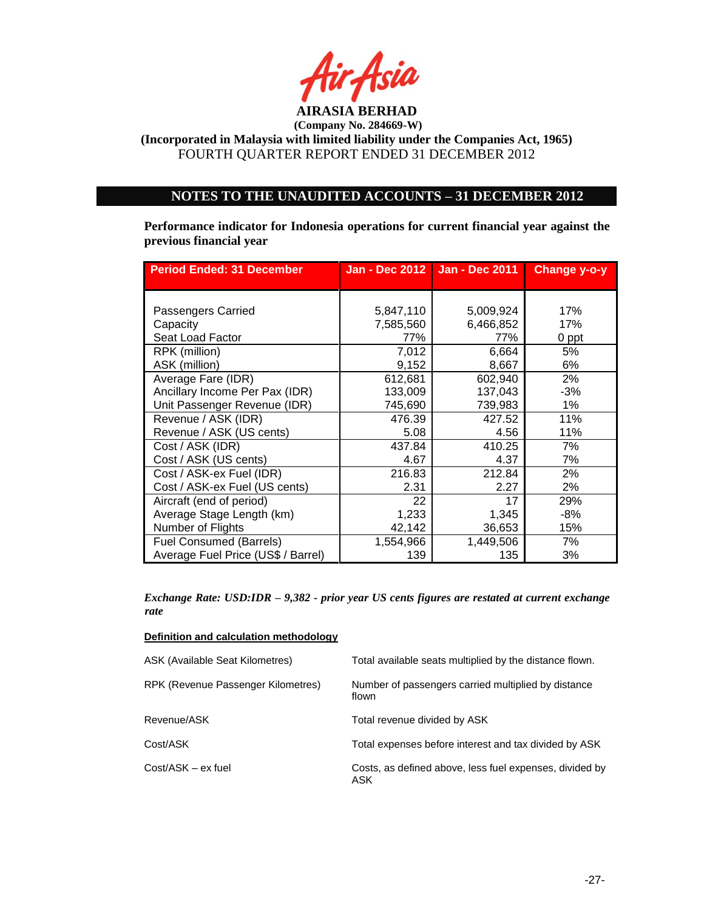

**(Company No. 284669-W)**

**(Incorporated in Malaysia with limited liability under the Companies Act, 1965)** FOURTH QUARTER REPORT ENDED 31 DECEMBER 2012

## **NOTES TO THE UNAUDITED ACCOUNTS – 31 DECEMBER 2012**

**Performance indicator for Indonesia operations for current financial year against the previous financial year**

| <b>Period Ended: 31 December</b>   |           | Jan - Dec 2012   Jan - Dec 2011 | Change y-o-y |
|------------------------------------|-----------|---------------------------------|--------------|
|                                    |           |                                 |              |
| Passengers Carried                 | 5,847,110 | 5,009,924                       | 17%          |
| Capacity                           | 7,585,560 | 6,466,852                       | 17%          |
| Seat Load Factor                   | 77%       | 77%                             | 0 ppt        |
| RPK (million)                      | 7,012     | 6,664                           | 5%           |
| ASK (million)                      | 9,152     | 8,667                           | 6%           |
| Average Fare (IDR)                 | 612,681   | 602,940                         | 2%           |
| Ancillary Income Per Pax (IDR)     | 133,009   | 137,043                         | $-3%$        |
| Unit Passenger Revenue (IDR)       | 745,690   | 739,983                         | $1\%$        |
| Revenue / ASK (IDR)                | 476.39    | 427.52                          | 11%          |
| Revenue / ASK (US cents)           | 5.08      | 4.56                            | 11%          |
| Cost / ASK (IDR)                   | 437.84    | 410.25                          | 7%           |
| Cost / ASK (US cents)              | 4.67      | 4.37                            | 7%           |
| Cost / ASK-ex Fuel (IDR)           | 216.83    | 212.84                          | 2%           |
| Cost / ASK-ex Fuel (US cents)      | 2.31      | 2.27                            | 2%           |
| Aircraft (end of period)           | 22        | 17                              | 29%          |
| Average Stage Length (km)          | 1,233     | 1,345                           | -8%          |
| Number of Flights                  | 42,142    | 36,653                          | 15%          |
| <b>Fuel Consumed (Barrels)</b>     | 1,554,966 | 1,449,506                       | 7%           |
| Average Fuel Price (US\$ / Barrel) | 139       | 135                             | 3%           |

*Exchange Rate: USD:IDR – 9,382 - prior year US cents figures are restated at current exchange rate*

#### **Definition and calculation methodology**

| <b>ASK (Available Seat Kilometres)</b> | Total available seats multiplied by the distance flown.        |
|----------------------------------------|----------------------------------------------------------------|
| RPK (Revenue Passenger Kilometres)     | Number of passengers carried multiplied by distance<br>flown   |
| Revenue/ASK                            | Total revenue divided by ASK                                   |
| Cost/ASK                               | Total expenses before interest and tax divided by ASK          |
| Cost/ASK - ex fuel                     | Costs, as defined above, less fuel expenses, divided by<br>ASK |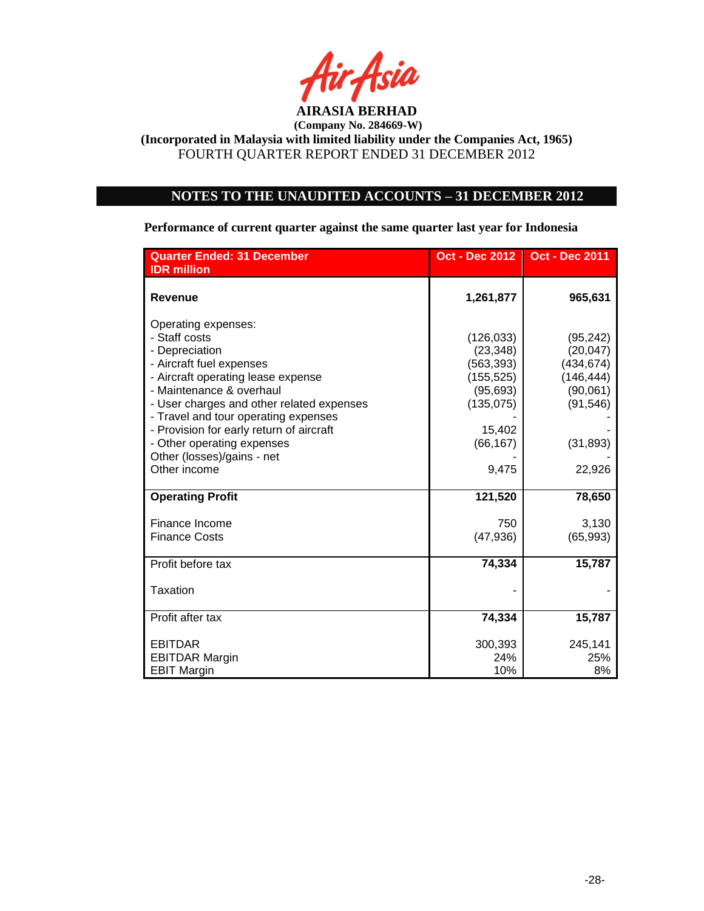

# **NOTES TO THE UNAUDITED ACCOUNTS – 31 DECEMBER 2012**

**Performance of current quarter against the same quarter last year for Indonesia**

| <b>Quarter Ended: 31 December</b>                                                                                                                                                                                                                                                                                   | <b>Oct - Dec 2012</b>                                                                                 | <b>Oct - Dec 2011</b>                                                                    |
|---------------------------------------------------------------------------------------------------------------------------------------------------------------------------------------------------------------------------------------------------------------------------------------------------------------------|-------------------------------------------------------------------------------------------------------|------------------------------------------------------------------------------------------|
| <b>IDR</b> million                                                                                                                                                                                                                                                                                                  |                                                                                                       |                                                                                          |
| Revenue                                                                                                                                                                                                                                                                                                             | 1,261,877                                                                                             | 965,631                                                                                  |
| Operating expenses:<br>- Staff costs<br>- Depreciation<br>- Aircraft fuel expenses<br>- Aircraft operating lease expense<br>- Maintenance & overhaul<br>- User charges and other related expenses<br>- Travel and tour operating expenses<br>- Provision for early return of aircraft<br>- Other operating expenses | (126, 033)<br>(23, 348)<br>(563, 393)<br>(155, 525)<br>(95, 693)<br>(135, 075)<br>15,402<br>(66, 167) | (95, 242)<br>(20, 047)<br>(434, 674)<br>(146, 444)<br>(90,061)<br>(91, 546)<br>(31, 893) |
| Other (losses)/gains - net<br>Other income                                                                                                                                                                                                                                                                          | 9,475                                                                                                 | 22,926                                                                                   |
| <b>Operating Profit</b>                                                                                                                                                                                                                                                                                             | 121,520                                                                                               | 78,650                                                                                   |
| Finance Income<br><b>Finance Costs</b>                                                                                                                                                                                                                                                                              | 750<br>(47, 936)                                                                                      | 3,130<br>(65, 993)                                                                       |
| Profit before tax                                                                                                                                                                                                                                                                                                   | 74,334                                                                                                | 15,787                                                                                   |
| Taxation                                                                                                                                                                                                                                                                                                            |                                                                                                       |                                                                                          |
| Profit after tax                                                                                                                                                                                                                                                                                                    | 74,334                                                                                                | 15,787                                                                                   |
| <b>EBITDAR</b><br><b>EBITDAR Margin</b><br><b>EBIT Margin</b>                                                                                                                                                                                                                                                       | 300,393<br>24%<br>10%                                                                                 | 245,141<br>25%<br>8%                                                                     |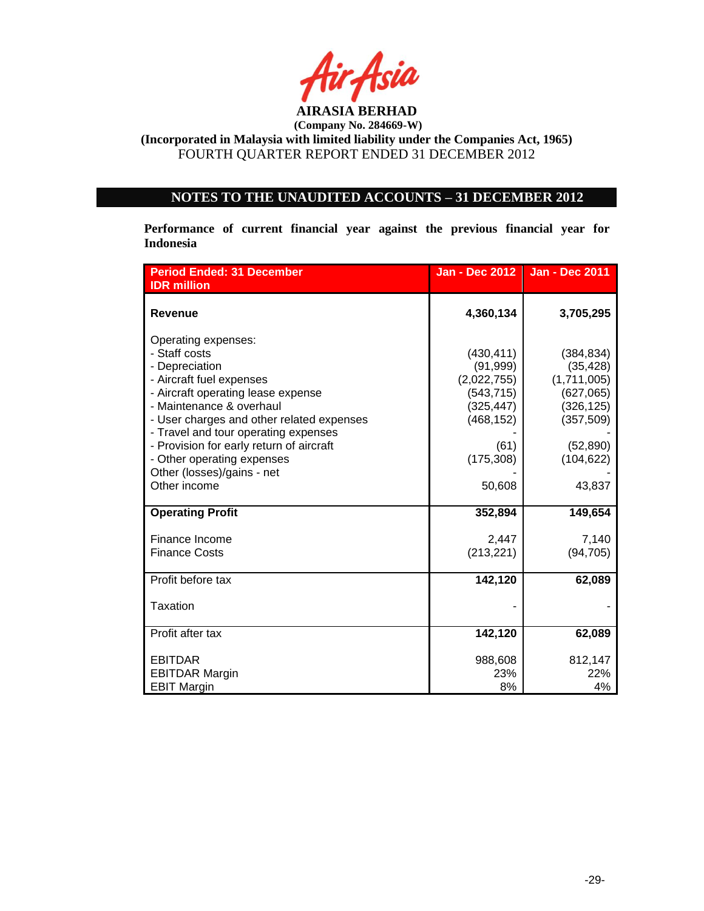

# **NOTES TO THE UNAUDITED ACCOUNTS – 31 DECEMBER 2012**

**Performance of current financial year against the previous financial year for Indonesia**

| <b>Period Ended: 31 December</b>          | <b>Jan - Dec 2012</b> | <b>Jan - Dec 2011</b> |
|-------------------------------------------|-----------------------|-----------------------|
| <b>IDR</b> million                        |                       |                       |
| <b>Revenue</b>                            | 4,360,134             | 3,705,295             |
| Operating expenses:                       |                       |                       |
| - Staff costs                             | (430, 411)            | (384, 834)            |
| - Depreciation                            | (91, 999)             | (35, 428)             |
| - Aircraft fuel expenses                  | (2,022,755)           | (1,711,005)           |
| - Aircraft operating lease expense        | (543, 715)            | (627,065)             |
| - Maintenance & overhaul                  | (325, 447)            | (326, 125)            |
| - User charges and other related expenses | (468, 152)            | (357, 509)            |
| - Travel and tour operating expenses      |                       |                       |
| - Provision for early return of aircraft  | (61)                  | (52, 890)             |
| - Other operating expenses                | (175, 308)            | (104, 622)            |
| Other (losses)/gains - net                |                       |                       |
| Other income                              | 50,608                | 43,837                |
| <b>Operating Profit</b>                   | 352,894               | 149,654               |
| Finance Income                            | 2,447                 | 7,140                 |
| <b>Finance Costs</b>                      | (213, 221)            | (94, 705)             |
|                                           |                       |                       |
| Profit before tax                         | 142,120               | 62,089                |
| Taxation                                  |                       |                       |
| Profit after tax                          | 142,120               | 62,089                |
| <b>EBITDAR</b>                            | 988,608               | 812,147               |
| <b>EBITDAR Margin</b>                     | 23%                   | 22%                   |
| <b>EBIT Margin</b>                        | 8%                    | 4%                    |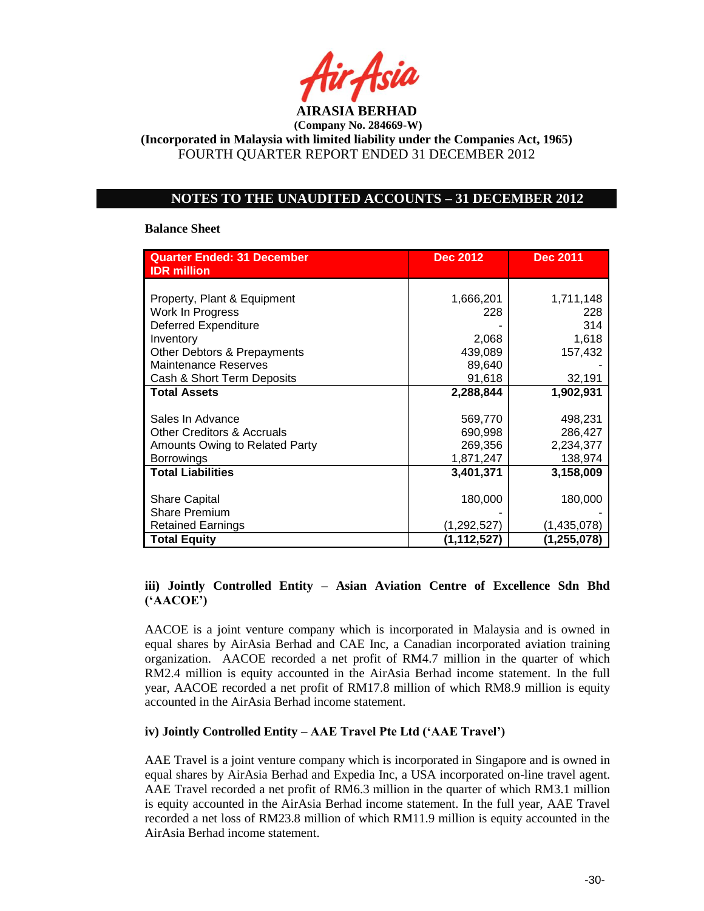

## **NOTES TO THE UNAUDITED ACCOUNTS – 31 DECEMBER 2012**

#### **Balance Sheet**

| <b>Quarter Ended: 31 December</b><br><b>IDR</b> million | <b>Dec 2012</b> | <b>Dec 2011</b> |
|---------------------------------------------------------|-----------------|-----------------|
|                                                         |                 |                 |
| Property, Plant & Equipment                             | 1,666,201       | 1,711,148       |
| Work In Progress                                        | 228             | 228             |
| <b>Deferred Expenditure</b>                             |                 | 314             |
| Inventory                                               | 2,068           | 1,618           |
| Other Debtors & Prepayments                             | 439,089         | 157,432         |
| <b>Maintenance Reserves</b>                             | 89,640          |                 |
| Cash & Short Term Deposits                              | 91,618          | 32,191          |
| <b>Total Assets</b>                                     | 2,288,844       | 1,902,931       |
|                                                         |                 |                 |
| Sales In Advance                                        | 569,770         | 498,231         |
| <b>Other Creditors &amp; Accruals</b>                   | 690,998         | 286,427         |
| Amounts Owing to Related Party                          | 269,356         | 2,234,377       |
| <b>Borrowings</b>                                       | 1,871,247       | 138,974         |
| <b>Total Liabilities</b>                                | 3,401,371       | 3,158,009       |
|                                                         |                 |                 |
| <b>Share Capital</b>                                    | 180,000         | 180,000         |
| <b>Share Premium</b>                                    |                 |                 |
| <b>Retained Earnings</b>                                | (1, 292, 527)   | (1,435,078)     |
| <b>Total Equity</b>                                     | (1, 112, 527)   | (1,255,078)     |

## **iii) Jointly Controlled Entity – Asian Aviation Centre of Excellence Sdn Bhd ('AACOE')**

AACOE is a joint venture company which is incorporated in Malaysia and is owned in equal shares by AirAsia Berhad and CAE Inc, a Canadian incorporated aviation training organization. AACOE recorded a net profit of RM4.7 million in the quarter of which RM2.4 million is equity accounted in the AirAsia Berhad income statement. In the full year, AACOE recorded a net profit of RM17.8 million of which RM8.9 million is equity accounted in the AirAsia Berhad income statement.

### **iv) Jointly Controlled Entity – AAE Travel Pte Ltd ('AAE Travel')**

AAE Travel is a joint venture company which is incorporated in Singapore and is owned in equal shares by AirAsia Berhad and Expedia Inc, a USA incorporated on-line travel agent. AAE Travel recorded a net profit of RM6.3 million in the quarter of which RM3.1 million is equity accounted in the AirAsia Berhad income statement. In the full year, AAE Travel recorded a net loss of RM23.8 million of which RM11.9 million is equity accounted in the AirAsia Berhad income statement.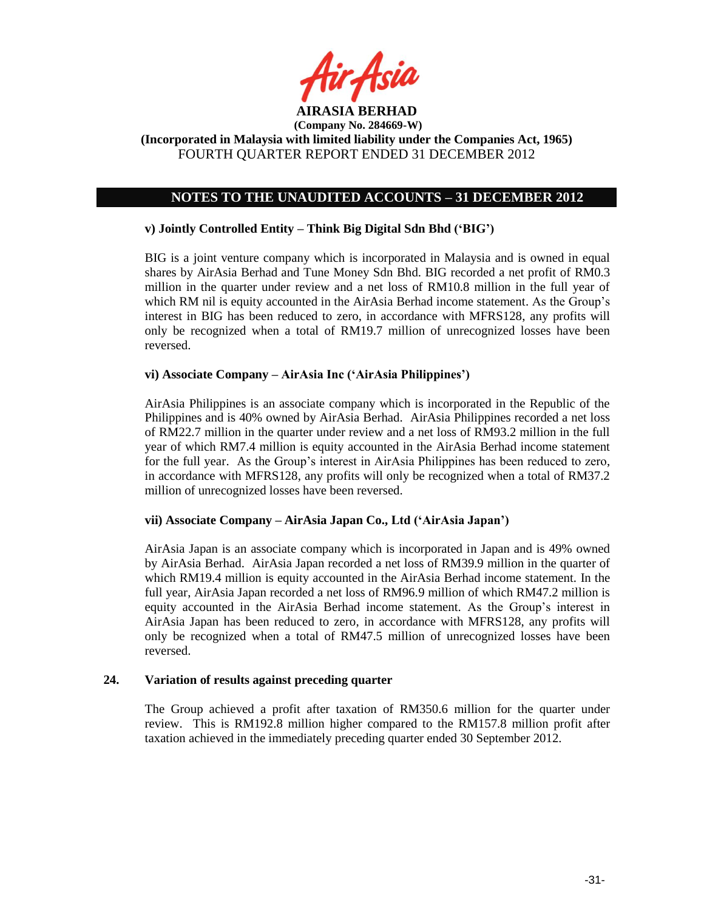

## **NOTES TO THE UNAUDITED ACCOUNTS – 31 DECEMBER 2012**

### **v) Jointly Controlled Entity – Think Big Digital Sdn Bhd ('BIG')**

BIG is a joint venture company which is incorporated in Malaysia and is owned in equal shares by AirAsia Berhad and Tune Money Sdn Bhd. BIG recorded a net profit of RM0.3 million in the quarter under review and a net loss of RM10.8 million in the full year of which RM nil is equity accounted in the AirAsia Berhad income statement. As the Group's interest in BIG has been reduced to zero, in accordance with MFRS128, any profits will only be recognized when a total of RM19.7 million of unrecognized losses have been reversed.

## **vi) Associate Company – AirAsia Inc ('AirAsia Philippines')**

AirAsia Philippines is an associate company which is incorporated in the Republic of the Philippines and is 40% owned by AirAsia Berhad. AirAsia Philippines recorded a net loss of RM22.7 million in the quarter under review and a net loss of RM93.2 million in the full year of which RM7.4 million is equity accounted in the AirAsia Berhad income statement for the full year. As the Group's interest in AirAsia Philippines has been reduced to zero, in accordance with MFRS128, any profits will only be recognized when a total of RM37.2 million of unrecognized losses have been reversed.

#### **vii) Associate Company – AirAsia Japan Co., Ltd ('AirAsia Japan')**

AirAsia Japan is an associate company which is incorporated in Japan and is 49% owned by AirAsia Berhad. AirAsia Japan recorded a net loss of RM39.9 million in the quarter of which RM19.4 million is equity accounted in the AirAsia Berhad income statement. In the full year, AirAsia Japan recorded a net loss of RM96.9 million of which RM47.2 million is equity accounted in the AirAsia Berhad income statement. As the Group's interest in AirAsia Japan has been reduced to zero, in accordance with MFRS128, any profits will only be recognized when a total of RM47.5 million of unrecognized losses have been reversed.

### **24. Variation of results against preceding quarter**

The Group achieved a profit after taxation of RM350.6 million for the quarter under review. This is RM192.8 million higher compared to the RM157.8 million profit after taxation achieved in the immediately preceding quarter ended 30 September 2012.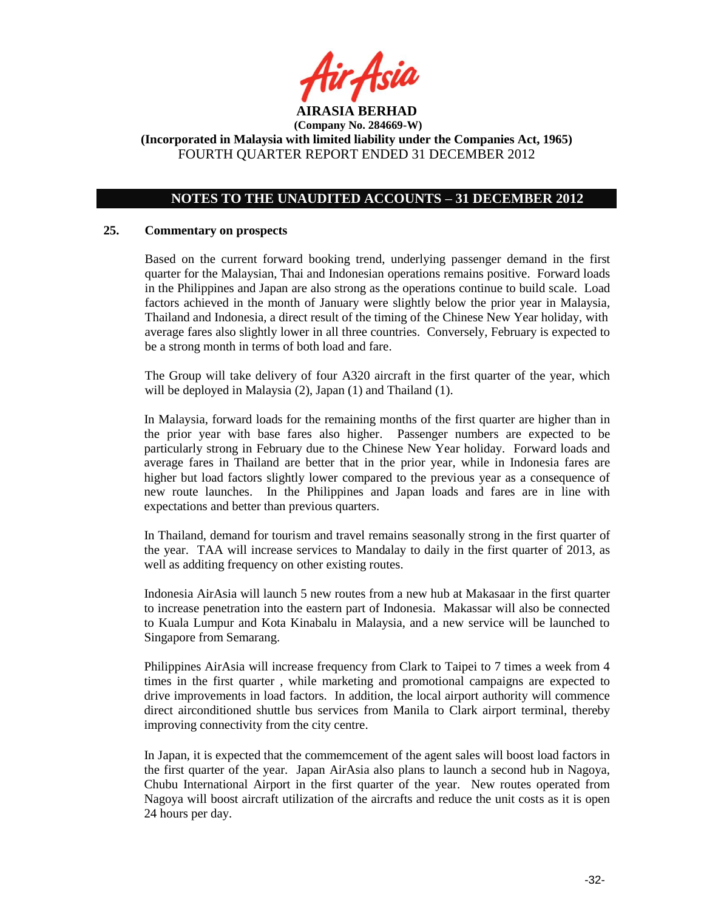

## **NOTES TO THE UNAUDITED ACCOUNTS – 31 DECEMBER 2012**

### **25. Commentary on prospects**

Based on the current forward booking trend, underlying passenger demand in the first quarter for the Malaysian, Thai and Indonesian operations remains positive. Forward loads in the Philippines and Japan are also strong as the operations continue to build scale. Load factors achieved in the month of January were slightly below the prior year in Malaysia, Thailand and Indonesia, a direct result of the timing of the Chinese New Year holiday, with average fares also slightly lower in all three countries. Conversely, February is expected to be a strong month in terms of both load and fare.

The Group will take delivery of four A320 aircraft in the first quarter of the year, which will be deployed in Malaysia (2), Japan (1) and Thailand (1).

In Malaysia, forward loads for the remaining months of the first quarter are higher than in the prior year with base fares also higher. Passenger numbers are expected to be particularly strong in February due to the Chinese New Year holiday. Forward loads and average fares in Thailand are better that in the prior year, while in Indonesia fares are higher but load factors slightly lower compared to the previous year as a consequence of new route launches. In the Philippines and Japan loads and fares are in line with expectations and better than previous quarters.

In Thailand, demand for tourism and travel remains seasonally strong in the first quarter of the year. TAA will increase services to Mandalay to daily in the first quarter of 2013, as well as additing frequency on other existing routes.

Indonesia AirAsia will launch 5 new routes from a new hub at Makasaar in the first quarter to increase penetration into the eastern part of Indonesia. Makassar will also be connected to Kuala Lumpur and Kota Kinabalu in Malaysia, and a new service will be launched to Singapore from Semarang.

Philippines AirAsia will increase frequency from Clark to Taipei to 7 times a week from 4 times in the first quarter , while marketing and promotional campaigns are expected to drive improvements in load factors. In addition, the local airport authority will commence direct airconditioned shuttle bus services from Manila to Clark airport terminal, thereby improving connectivity from the city centre.

In Japan, it is expected that the commemcement of the agent sales will boost load factors in the first quarter of the year. Japan AirAsia also plans to launch a second hub in Nagoya, Chubu International Airport in the first quarter of the year. New routes operated from Nagoya will boost aircraft utilization of the aircrafts and reduce the unit costs as it is open 24 hours per day.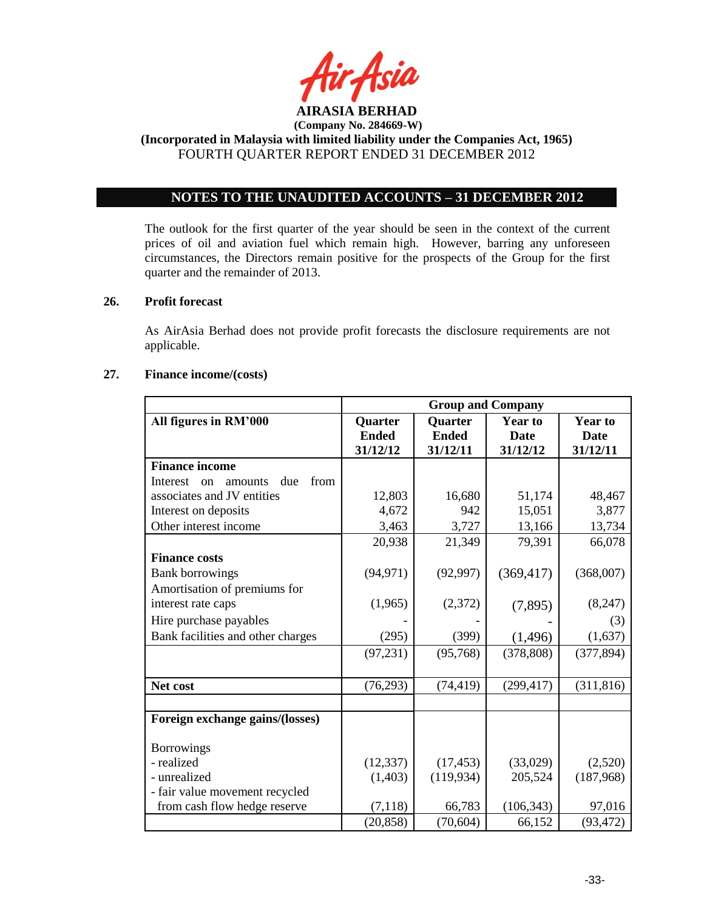

## **NOTES TO THE UNAUDITED ACCOUNTS – 31 DECEMBER 2012**

The outlook for the first quarter of the year should be seen in the context of the current prices of oil and aviation fuel which remain high. However, barring any unforeseen circumstances, the Directors remain positive for the prospects of the Group for the first quarter and the remainder of 2013.

### **26. Profit forecast**

As AirAsia Berhad does not provide profit forecasts the disclosure requirements are not applicable.

#### **27. Finance income/(costs)**

|                                          | <b>Group and Company</b> |                |                |                |
|------------------------------------------|--------------------------|----------------|----------------|----------------|
| All figures in RM'000                    | <b>Quarter</b>           | <b>Quarter</b> | <b>Year to</b> | <b>Year to</b> |
|                                          | <b>Ended</b>             | <b>Ended</b>   | <b>Date</b>    | <b>Date</b>    |
|                                          | 31/12/12                 | 31/12/11       | 31/12/12       | 31/12/11       |
| <b>Finance income</b>                    |                          |                |                |                |
| from<br>Interest<br>due<br>amounts<br>on |                          |                |                |                |
| associates and JV entities               | 12,803                   | 16,680         | 51,174         | 48,467         |
| Interest on deposits                     | 4,672                    | 942            | 15,051         | 3,877          |
| Other interest income                    | 3,463                    | 3,727          | 13,166         | 13,734         |
|                                          | 20,938                   | 21,349         | 79,391         | 66,078         |
| <b>Finance costs</b>                     |                          |                |                |                |
| <b>Bank borrowings</b>                   | (94, 971)                | (92, 997)      | (369, 417)     | (368,007)      |
| Amortisation of premiums for             |                          |                |                |                |
| interest rate caps                       | (1,965)                  | (2,372)        | (7,895)        | (8,247)        |
| Hire purchase payables                   |                          |                |                | (3)            |
| Bank facilities and other charges        | (295)                    | (399)          | (1, 496)       | (1,637)        |
|                                          | (97, 231)                | (95,768)       | (378, 808)     | (377, 894)     |
|                                          |                          |                |                |                |
| Net cost                                 | (76, 293)                | (74, 419)      | (299, 417)     | (311, 816)     |
|                                          |                          |                |                |                |
| Foreign exchange gains/(losses)          |                          |                |                |                |
|                                          |                          |                |                |                |
| <b>Borrowings</b>                        |                          |                |                |                |
| - realized                               | (12, 337)                | (17, 453)      | (33,029)       | (2,520)        |
| - unrealized                             | (1,403)                  | (119, 934)     | 205,524        | (187,968)      |
| - fair value movement recycled           |                          |                |                |                |
| from cash flow hedge reserve             | (7, 118)                 | 66,783         | (106, 343)     | 97,016         |
|                                          | (20, 858)                | (70, 604)      | 66,152         | (93, 472)      |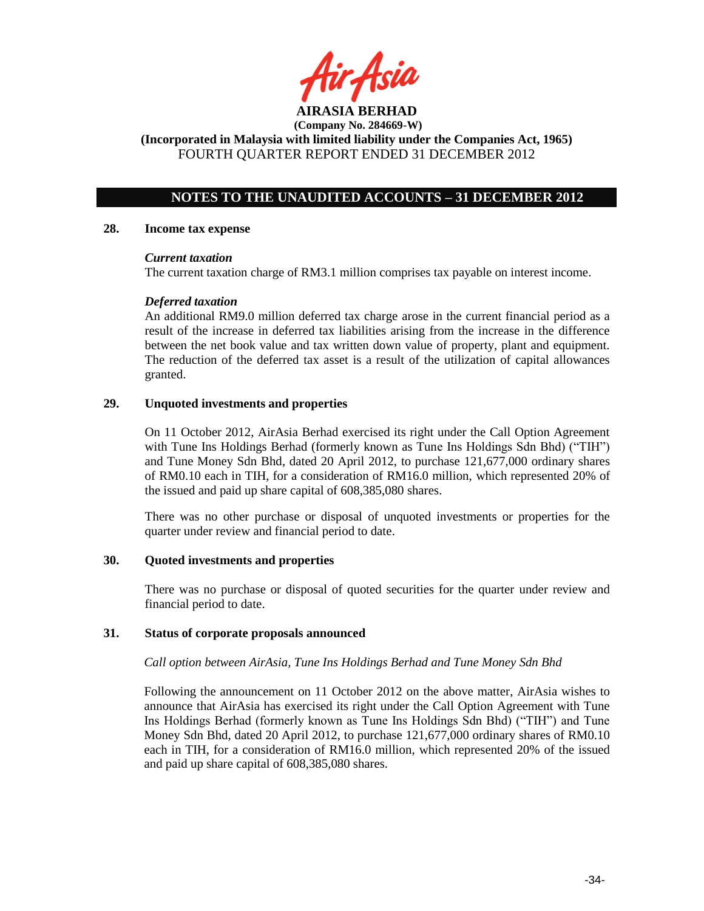

## **NOTES TO THE UNAUDITED ACCOUNTS – 31 DECEMBER 2012**

### **28. Income tax expense**

### *Current taxation*

The current taxation charge of RM3.1 million comprises tax payable on interest income.

### *Deferred taxation*

An additional RM9.0 million deferred tax charge arose in the current financial period as a result of the increase in deferred tax liabilities arising from the increase in the difference between the net book value and tax written down value of property, plant and equipment. The reduction of the deferred tax asset is a result of the utilization of capital allowances granted.

### **29. Unquoted investments and properties**

On 11 October 2012, AirAsia Berhad exercised its right under the Call Option Agreement with Tune Ins Holdings Berhad (formerly known as Tune Ins Holdings Sdn Bhd) ("TIH") and Tune Money Sdn Bhd, dated 20 April 2012, to purchase 121,677,000 ordinary shares of RM0.10 each in TIH, for a consideration of RM16.0 million, which represented 20% of the issued and paid up share capital of 608,385,080 shares.

There was no other purchase or disposal of unquoted investments or properties for the quarter under review and financial period to date.

### **30. Quoted investments and properties**

There was no purchase or disposal of quoted securities for the quarter under review and financial period to date.

### **31. Status of corporate proposals announced**

### *Call option between AirAsia, Tune Ins Holdings Berhad and Tune Money Sdn Bhd*

Following the announcement on 11 October 2012 on the above matter, AirAsia wishes to announce that AirAsia has exercised its right under the Call Option Agreement with Tune Ins Holdings Berhad (formerly known as Tune Ins Holdings Sdn Bhd) ("TIH") and Tune Money Sdn Bhd, dated 20 April 2012, to purchase 121,677,000 ordinary shares of RM0.10 each in TIH, for a consideration of RM16.0 million, which represented 20% of the issued and paid up share capital of 608,385,080 shares.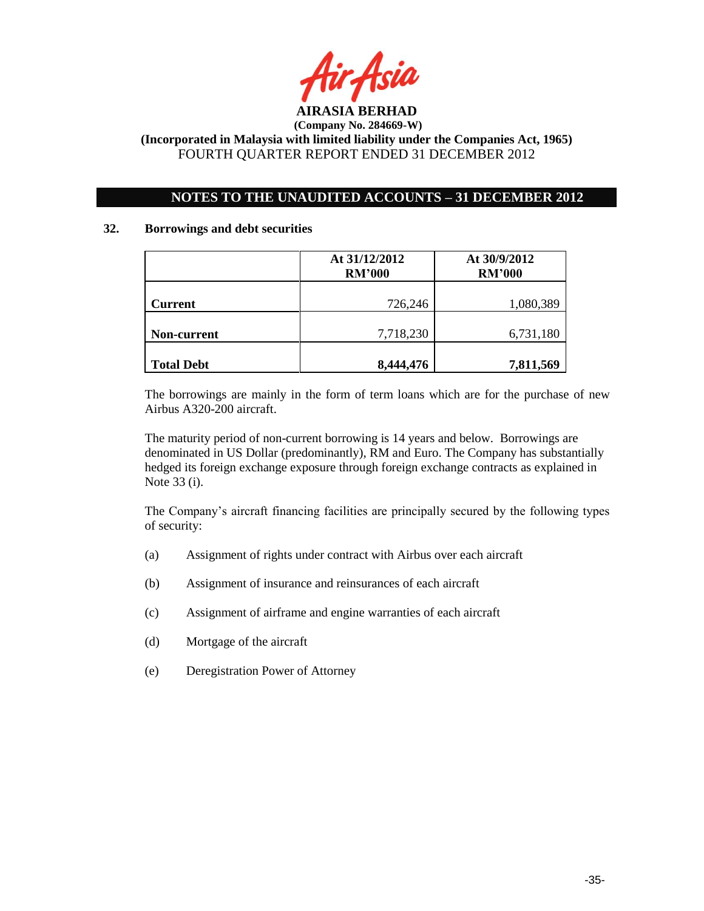

## **NOTES TO THE UNAUDITED ACCOUNTS – 31 DECEMBER 2012**

### **32. Borrowings and debt securities**

|                   | At 31/12/2012<br><b>RM'000</b> | At 30/9/2012<br><b>RM'000</b> |  |
|-------------------|--------------------------------|-------------------------------|--|
| <b>Current</b>    | 726,246                        | 1,080,389                     |  |
| Non-current       | 7,718,230                      | 6,731,180                     |  |
| <b>Total Debt</b> | 8,444,476                      | 7,811,569                     |  |

The borrowings are mainly in the form of term loans which are for the purchase of new Airbus A320-200 aircraft.

The maturity period of non-current borrowing is 14 years and below. Borrowings are denominated in US Dollar (predominantly), RM and Euro. The Company has substantially hedged its foreign exchange exposure through foreign exchange contracts as explained in Note 33 (i).

The Company's aircraft financing facilities are principally secured by the following types of security:

- (a) Assignment of rights under contract with Airbus over each aircraft
- (b) Assignment of insurance and reinsurances of each aircraft
- (c) Assignment of airframe and engine warranties of each aircraft
- (d) Mortgage of the aircraft
- (e) Deregistration Power of Attorney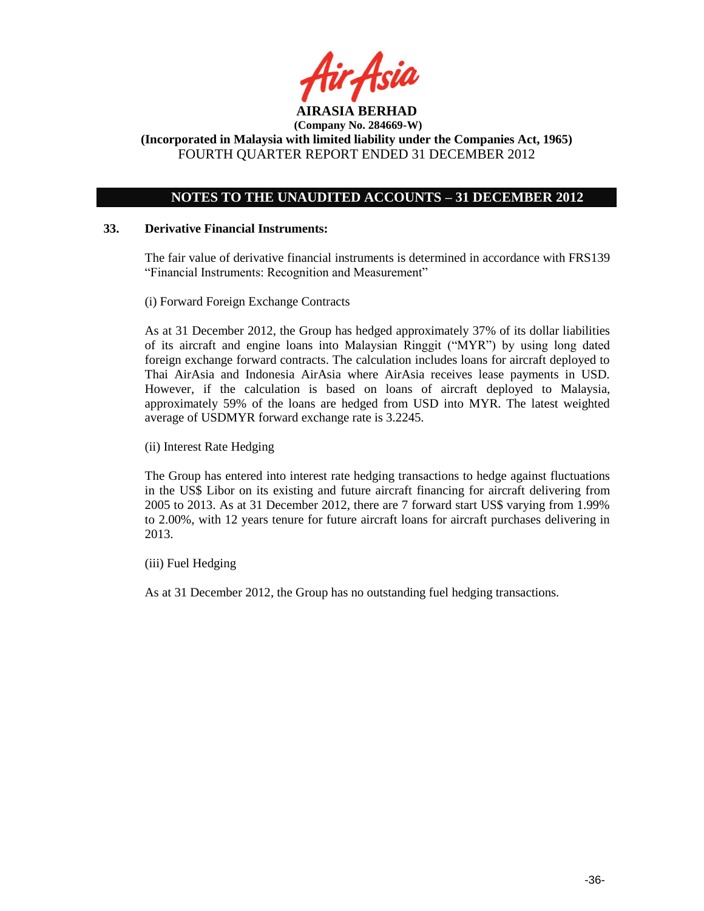

## **NOTES TO THE UNAUDITED ACCOUNTS – 31 DECEMBER 2012**

### **33. Derivative Financial Instruments:**

The fair value of derivative financial instruments is determined in accordance with FRS139 "Financial Instruments: Recognition and Measurement"

(i) Forward Foreign Exchange Contracts

As at 31 December 2012, the Group has hedged approximately 37% of its dollar liabilities of its aircraft and engine loans into Malaysian Ringgit ("MYR") by using long dated foreign exchange forward contracts. The calculation includes loans for aircraft deployed to Thai AirAsia and Indonesia AirAsia where AirAsia receives lease payments in USD. However, if the calculation is based on loans of aircraft deployed to Malaysia, approximately 59% of the loans are hedged from USD into MYR. The latest weighted average of USDMYR forward exchange rate is 3.2245.

(ii) Interest Rate Hedging

The Group has entered into interest rate hedging transactions to hedge against fluctuations in the US\$ Libor on its existing and future aircraft financing for aircraft delivering from 2005 to 2013. As at 31 December 2012, there are 7 forward start US\$ varying from 1.99% to 2.00%, with 12 years tenure for future aircraft loans for aircraft purchases delivering in 2013.

(iii) Fuel Hedging

As at 31 December 2012, the Group has no outstanding fuel hedging transactions.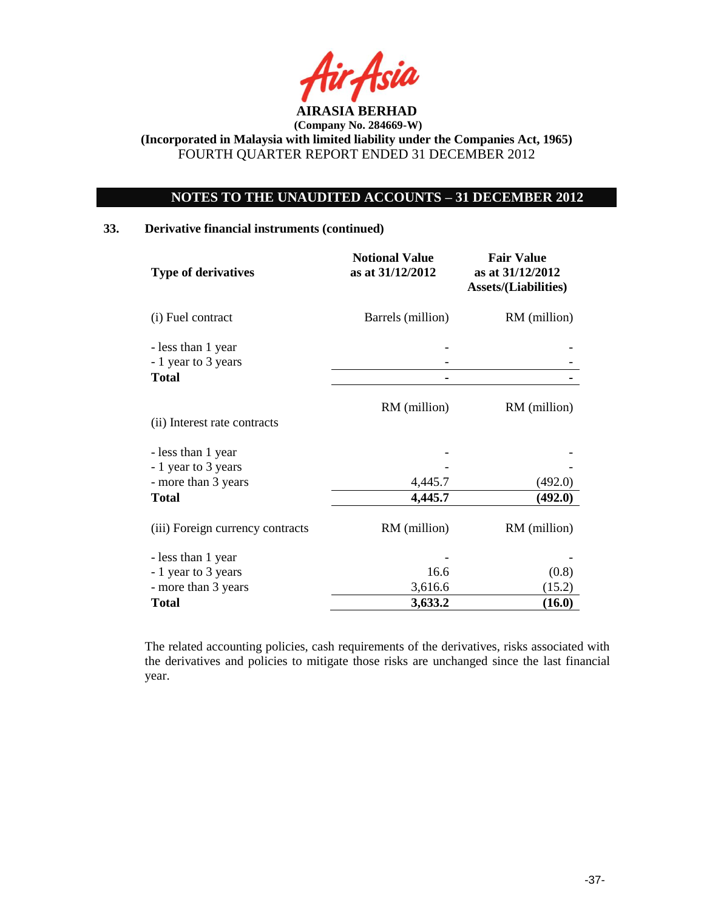

# **NOTES TO THE UNAUDITED ACCOUNTS – 31 DECEMBER 2012**

## **33. Derivative financial instruments (continued)**

| <b>Type of derivatives</b>                | <b>Notional Value</b><br>as at 31/12/2012 | <b>Fair Value</b><br>as at 31/12/2012<br><b>Assets/(Liabilities)</b> |  |
|-------------------------------------------|-------------------------------------------|----------------------------------------------------------------------|--|
| (i) Fuel contract                         | Barrels (million)                         | RM (million)                                                         |  |
| - less than 1 year<br>- 1 year to 3 years |                                           |                                                                      |  |
| <b>Total</b>                              |                                           |                                                                      |  |
| (ii) Interest rate contracts              | RM (million)                              | RM (million)                                                         |  |
| - less than 1 year<br>- 1 year to 3 years |                                           |                                                                      |  |
| - more than 3 years                       | 4,445.7                                   | (492.0)                                                              |  |
| <b>Total</b>                              | 4,445.7                                   | (492.0)                                                              |  |
| (iii) Foreign currency contracts          | RM (million)                              | RM (million)                                                         |  |
| - less than 1 year                        |                                           |                                                                      |  |
| - 1 year to 3 years                       | 16.6                                      | (0.8)                                                                |  |
| - more than 3 years                       | 3,616.6                                   | (15.2)                                                               |  |
| Total                                     | 3,633.2                                   | (16.0)                                                               |  |

The related accounting policies, cash requirements of the derivatives, risks associated with the derivatives and policies to mitigate those risks are unchanged since the last financial year.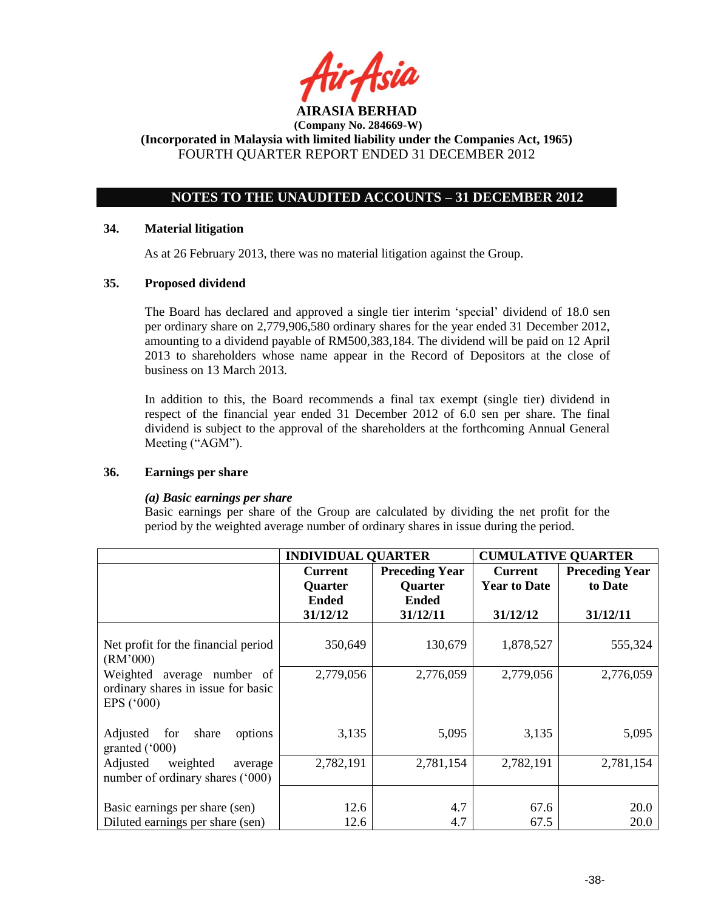

## **NOTES TO THE UNAUDITED ACCOUNTS – 31 DECEMBER 2012**

### **34. Material litigation**

As at 26 February 2013, there was no material litigation against the Group.

### **35. Proposed dividend**

The Board has declared and approved a single tier interim 'special' dividend of 18.0 sen per ordinary share on 2,779,906,580 ordinary shares for the year ended 31 December 2012, amounting to a dividend payable of RM500,383,184. The dividend will be paid on 12 April 2013 to shareholders whose name appear in the Record of Depositors at the close of business on 13 March 2013.

In addition to this, the Board recommends a final tax exempt (single tier) dividend in respect of the financial year ended 31 December 2012 of 6.0 sen per share. The final dividend is subject to the approval of the shareholders at the forthcoming Annual General Meeting ("AGM").

### **36. Earnings per share**

#### *(a) Basic earnings per share*

Basic earnings per share of the Group are calculated by dividing the net profit for the period by the weighted average number of ordinary shares in issue during the period.

|                                                                                            | <b>INDIVIDUAL QUARTER</b> |                       | <b>CUMULATIVE QUARTER</b> |                       |
|--------------------------------------------------------------------------------------------|---------------------------|-----------------------|---------------------------|-----------------------|
|                                                                                            | <b>Current</b>            | <b>Preceding Year</b> | <b>Current</b>            | <b>Preceding Year</b> |
|                                                                                            | Quarter                   | <b>Quarter</b>        | <b>Year to Date</b>       | to Date               |
|                                                                                            | <b>Ended</b>              | <b>Ended</b>          |                           |                       |
|                                                                                            | 31/12/12                  | 31/12/11              | 31/12/12                  | 31/12/11              |
| Net profit for the financial period<br>(RM'000)                                            | 350,649                   | 130,679               | 1,878,527                 | 555,324               |
| Weighted<br>average number of<br>ordinary shares in issue for basic<br>EPS $(^{\circ}000)$ | 2,779,056                 | 2,776,059             | 2,779,056                 | 2,776,059             |
| Adjusted<br>for<br>share<br>options<br>granted $(000)$                                     | 3,135                     | 5,095                 | 3,135                     | 5,095                 |
| Adjusted<br>weighted<br>average<br>number of ordinary shares ('000)                        | 2,782,191                 | 2,781,154             | 2,782,191                 | 2,781,154             |
| Basic earnings per share (sen)<br>Diluted earnings per share (sen)                         | 12.6<br>12.6              | 4.7<br>4.7            | 67.6<br>67.5              | 20.0<br>20.0          |